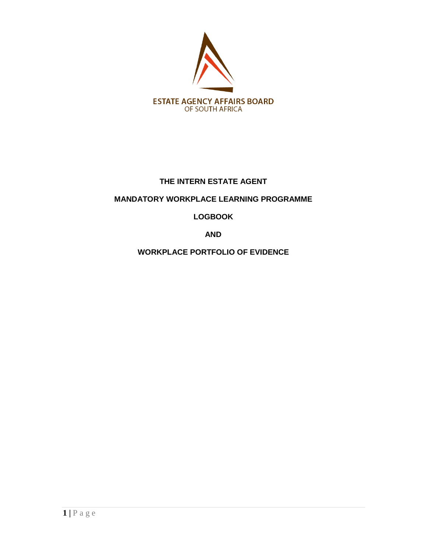

## **THE INTERN ESTATE AGENT**

# **MANDATORY WORKPLACE LEARNING PROGRAMME**

# **LOGBOOK**

**AND**

**WORKPLACE PORTFOLIO OF EVIDENCE**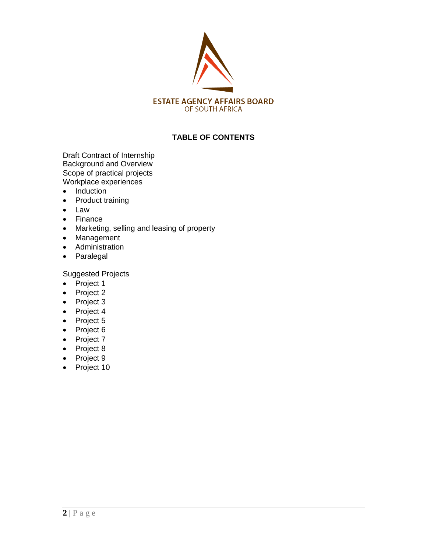

## **TABLE OF CONTENTS**

Draft Contract of Internship Background and Overview Scope of practical projects Workplace experiences

- Induction
- Product training
- Law
- Finance
- Marketing, selling and leasing of property
- Management
- Administration
- Paralegal

Suggested Projects

- $\bullet$  Project 1
- Project 2
- Project 3
- Project 4
- Project 5
- Project 6
- Project 7
- Project 8
- Project 9
- Project 10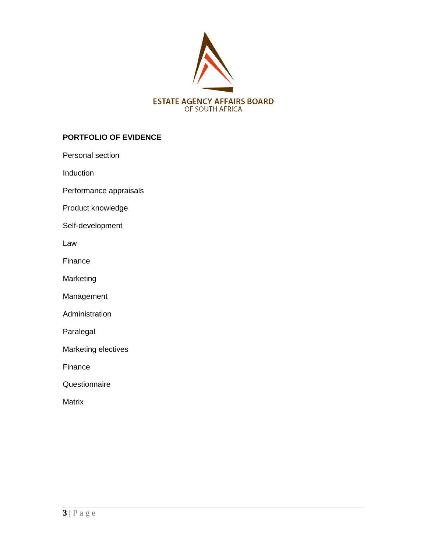

## **PORTFOLIO OF EVIDENCE**

Personal section

Induction

Performance appraisals

Product knowledge

Self-development

Law

Finance

Marketing

Management

Administration

Paralegal

Marketing electives

Finance

**Questionnaire** 

Matrix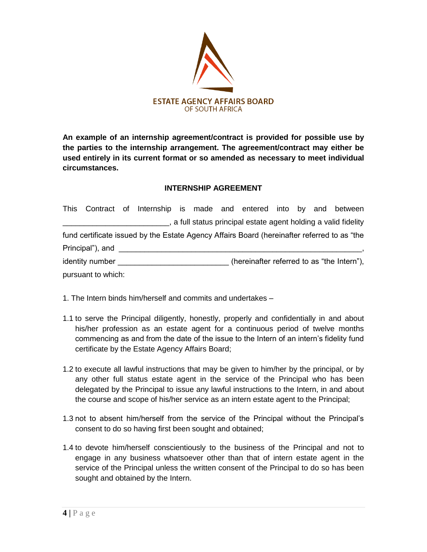

**An example of an internship agreement/contract is provided for possible use by the parties to the internship arrangement. The agreement/contract may either be used entirely in its current format or so amended as necessary to meet individual circumstances.**

## **INTERNSHIP AGREEMENT**

|                    | This Contract of Internship is made and entered into by and between                         |  |  |  |                                                                 |
|--------------------|---------------------------------------------------------------------------------------------|--|--|--|-----------------------------------------------------------------|
|                    |                                                                                             |  |  |  | s a full status principal estate agent holding a valid fidelity |
|                    | fund certificate issued by the Estate Agency Affairs Board (hereinafter referred to as "the |  |  |  |                                                                 |
| Principal"), and   |                                                                                             |  |  |  |                                                                 |
| identity number    |                                                                                             |  |  |  | (hereinafter referred to as "the Intern"),                      |
| pursuant to which: |                                                                                             |  |  |  |                                                                 |

- 1. The Intern binds him/herself and commits and undertakes –
- 1.1 to serve the Principal diligently, honestly, properly and confidentially in and about his/her profession as an estate agent for a continuous period of twelve months commencing as and from the date of the issue to the Intern of an intern"s fidelity fund certificate by the Estate Agency Affairs Board;
- 1.2 to execute all lawful instructions that may be given to him/her by the principal, or by any other full status estate agent in the service of the Principal who has been delegated by the Principal to issue any lawful instructions to the Intern, in and about the course and scope of his/her service as an intern estate agent to the Principal;
- 1.3 not to absent him/herself from the service of the Principal without the Principal"s consent to do so having first been sought and obtained;
- 1.4 to devote him/herself conscientiously to the business of the Principal and not to engage in any business whatsoever other than that of intern estate agent in the service of the Principal unless the written consent of the Principal to do so has been sought and obtained by the Intern.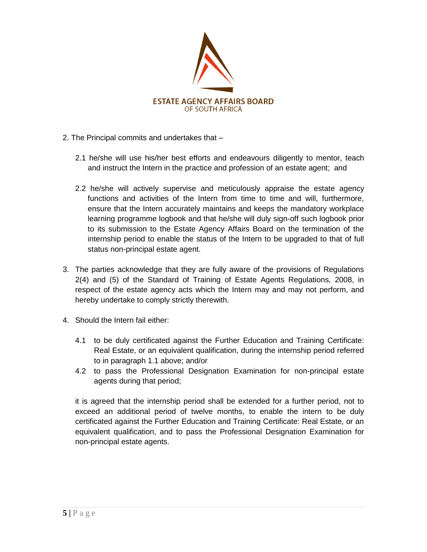

- 2. The Principal commits and undertakes that
	- 2.1 he/she will use his/her best efforts and endeavours diligently to mentor, teach and instruct the Intern in the practice and profession of an estate agent; and
	- 2.2 he/she will actively supervise and meticulously appraise the estate agency functions and activities of the Intern from time to time and will, furthermore, ensure that the Intern accurately maintains and keeps the mandatory workplace learning programme logbook and that he/she will duly sign-off such logbook prior to its submission to the Estate Agency Affairs Board on the termination of the internship period to enable the status of the Intern to be upgraded to that of full status non-principal estate agent.
- 3. The parties acknowledge that they are fully aware of the provisions of Regulations 2(4) and (5) of the Standard of Training of Estate Agents Regulations, 2008, in respect of the estate agency acts which the Intern may and may not perform, and hereby undertake to comply strictly therewith.
- 4. Should the Intern fail either:
	- 4.1 to be duly certificated against the Further Education and Training Certificate: Real Estate, or an equivalent qualification, during the internship period referred to in paragraph 1.1 above; and/or
	- 4.2 to pass the Professional Designation Examination for non-principal estate agents during that period;

it is agreed that the internship period shall be extended for a further period, not to exceed an additional period of twelve months, to enable the intern to be duly certificated against the Further Education and Training Certificate: Real Estate, or an equivalent qualification, and to pass the Professional Designation Examination for non-principal estate agents.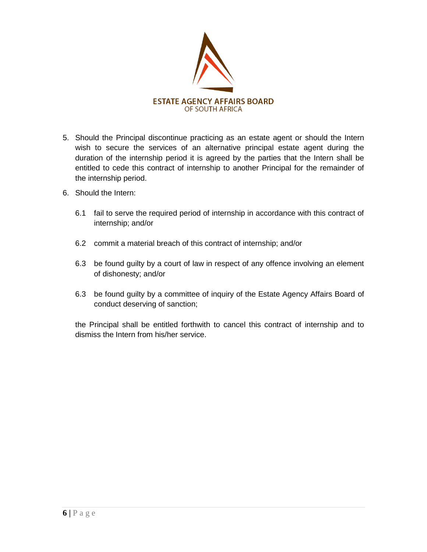

- 5. Should the Principal discontinue practicing as an estate agent or should the Intern wish to secure the services of an alternative principal estate agent during the duration of the internship period it is agreed by the parties that the Intern shall be entitled to cede this contract of internship to another Principal for the remainder of the internship period.
- 6. Should the Intern:
	- 6.1 fail to serve the required period of internship in accordance with this contract of internship; and/or
	- 6.2 commit a material breach of this contract of internship; and/or
	- 6.3 be found guilty by a court of law in respect of any offence involving an element of dishonesty; and/or
	- 6.3 be found guilty by a committee of inquiry of the Estate Agency Affairs Board of conduct deserving of sanction;

the Principal shall be entitled forthwith to cancel this contract of internship and to dismiss the Intern from his/her service.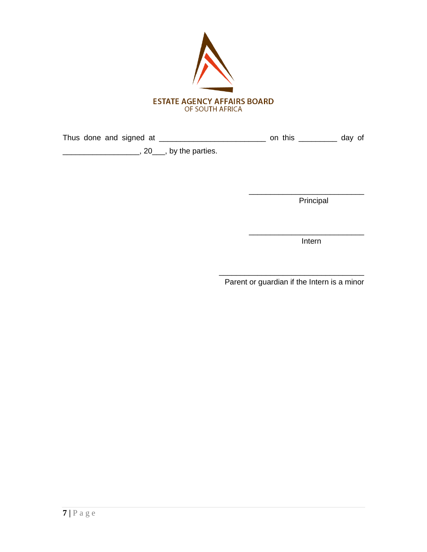

Thus done and signed at \_\_\_\_\_\_\_\_\_\_\_\_\_\_\_\_\_\_\_\_\_\_\_\_\_\_\_\_\_\_\_\_ on this \_\_\_\_\_\_\_\_\_\_\_\_ day of \_\_\_\_\_\_\_\_\_\_\_\_\_\_\_\_\_\_, 20\_\_\_, by the parties.

Principal

\_\_\_\_\_\_\_\_\_\_\_\_\_\_\_\_\_\_\_\_\_\_\_\_\_\_\_

\_\_\_\_\_\_\_\_\_\_\_\_\_\_\_\_\_\_\_\_\_\_\_\_\_\_\_ ing a state of the contract of the contract of the contract of the contract of the contract of the contract of

> \_\_\_\_\_\_\_\_\_\_\_\_\_\_\_\_\_\_\_\_\_\_\_\_\_\_\_\_\_\_\_\_\_\_ Parent or guardian if the Intern is a minor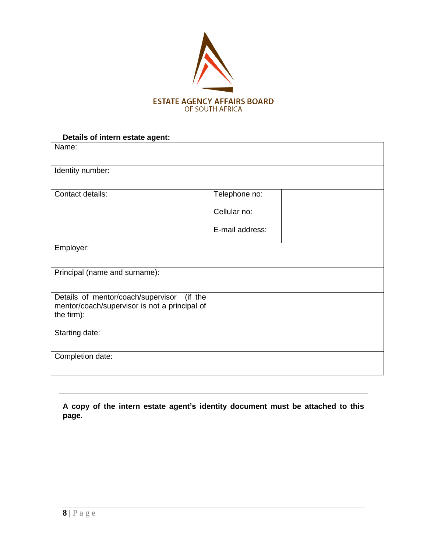

## **Details of intern estate agent:**

| Name:                                                                                                        |                               |
|--------------------------------------------------------------------------------------------------------------|-------------------------------|
| Identity number:                                                                                             |                               |
| Contact details:                                                                                             | Telephone no:<br>Cellular no: |
|                                                                                                              | E-mail address:               |
| Employer:                                                                                                    |                               |
| Principal (name and surname):                                                                                |                               |
| Details of mentor/coach/supervisor<br>(if the<br>mentor/coach/supervisor is not a principal of<br>the firm): |                               |
| Starting date:                                                                                               |                               |
| Completion date:                                                                                             |                               |

## **A copy of the intern estate agent"s identity document must be attached to this page.**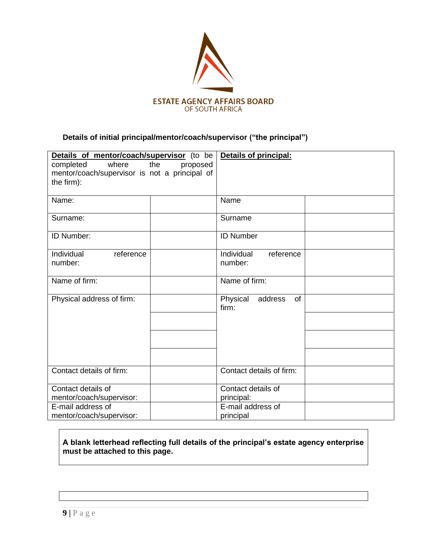

# **Details of initial principal/mentor/coach/supervisor ("the principal")**

| Details of mentor/coach/supervisor (to be     | <b>Details of principal:</b>       |  |  |
|-----------------------------------------------|------------------------------------|--|--|
| where<br>completed<br>the<br>proposed         |                                    |  |  |
| mentor/coach/supervisor is not a principal of |                                    |  |  |
| the firm):                                    |                                    |  |  |
|                                               |                                    |  |  |
| Name:                                         | Name                               |  |  |
| Surname:                                      | Surname                            |  |  |
| ID Number:                                    | <b>ID Number</b>                   |  |  |
| Individual<br>reference                       | Individual<br>reference            |  |  |
| number:                                       | number:                            |  |  |
|                                               |                                    |  |  |
| Name of firm:                                 | Name of firm:                      |  |  |
| Physical address of firm:                     | Physical<br>address<br>of<br>firm: |  |  |
|                                               |                                    |  |  |
|                                               |                                    |  |  |
|                                               |                                    |  |  |
| Contact details of firm:                      | Contact details of firm:           |  |  |
| Contact details of                            | Contact details of                 |  |  |
| mentor/coach/supervisor:                      | principal:                         |  |  |
| E-mail address of                             | E-mail address of                  |  |  |
| mentor/coach/supervisor:                      | principal                          |  |  |

## **A blank letterhead reflecting full details of the principal"s estate agency enterprise must be attached to this page.**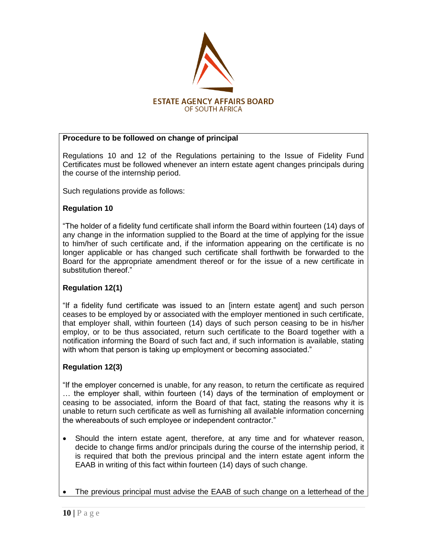

## **Procedure to be followed on change of principal**

Regulations 10 and 12 of the Regulations pertaining to the Issue of Fidelity Fund Certificates must be followed whenever an intern estate agent changes principals during the course of the internship period.

Such regulations provide as follows:

## **Regulation 10**

"The holder of a fidelity fund certificate shall inform the Board within fourteen (14) days of any change in the information supplied to the Board at the time of applying for the issue to him/her of such certificate and, if the information appearing on the certificate is no longer applicable or has changed such certificate shall forthwith be forwarded to the Board for the appropriate amendment thereof or for the issue of a new certificate in substitution thereof."

## **Regulation 12(1)**

"If a fidelity fund certificate was issued to an [intern estate agent] and such person ceases to be employed by or associated with the employer mentioned in such certificate, that employer shall, within fourteen (14) days of such person ceasing to be in his/her employ, or to be thus associated, return such certificate to the Board together with a notification informing the Board of such fact and, if such information is available, stating with whom that person is taking up employment or becoming associated."

## **Regulation 12(3)**

"If the employer concerned is unable, for any reason, to return the certificate as required … the employer shall, within fourteen (14) days of the termination of employment or ceasing to be associated, inform the Board of that fact, stating the reasons why it is unable to return such certificate as well as furnishing all available information concerning the whereabouts of such employee or independent contractor."

- Should the intern estate agent, therefore, at any time and for whatever reason, decide to change firms and/or principals during the course of the internship period, it is required that both the previous principal and the intern estate agent inform the EAAB in writing of this fact within fourteen (14) days of such change.
- The previous principal must advise the EAAB of such change on a letterhead of the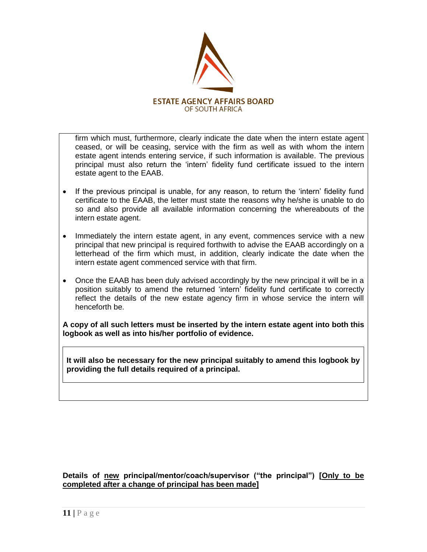

firm which must, furthermore, clearly indicate the date when the intern estate agent ceased, or will be ceasing, service with the firm as well as with whom the intern estate agent intends entering service, if such information is available. The previous principal must also return the "intern" fidelity fund certificate issued to the intern estate agent to the EAAB.

- If the previous principal is unable, for any reason, to return the 'intern' fidelity fund certificate to the EAAB, the letter must state the reasons why he/she is unable to do so and also provide all available information concerning the whereabouts of the intern estate agent.
- Immediately the intern estate agent, in any event, commences service with a new principal that new principal is required forthwith to advise the EAAB accordingly on a letterhead of the firm which must, in addition, clearly indicate the date when the intern estate agent commenced service with that firm.
- Once the EAAB has been duly advised accordingly by the new principal it will be in a position suitably to amend the returned "intern" fidelity fund certificate to correctly reflect the details of the new estate agency firm in whose service the intern will henceforth be.

**A copy of all such letters must be inserted by the intern estate agent into both this logbook as well as into his/her portfolio of evidence.** 

**It will also be necessary for the new principal suitably to amend this logbook by providing the full details required of a principal.** 

**Details of new principal/mentor/coach/supervisor ("the principal") [Only to be completed after a change of principal has been made]**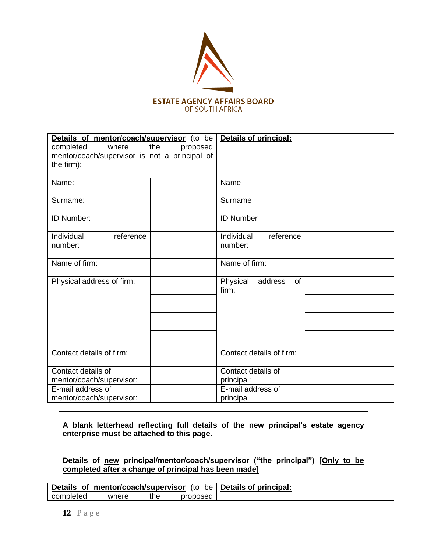

| Details of mentor/coach/supervisor (to be<br>completed<br>where<br>the<br>proposed<br>mentor/coach/supervisor is not a principal of | Details of principal:                     |  |  |
|-------------------------------------------------------------------------------------------------------------------------------------|-------------------------------------------|--|--|
| the firm):                                                                                                                          |                                           |  |  |
| Name:                                                                                                                               | Name                                      |  |  |
| Surname:                                                                                                                            | Surname                                   |  |  |
| ID Number:                                                                                                                          | <b>ID Number</b>                          |  |  |
| Individual<br>reference<br>number:                                                                                                  | Individual<br>reference<br>number:        |  |  |
| Name of firm:                                                                                                                       | Name of firm:                             |  |  |
| Physical address of firm:                                                                                                           | Physical<br>address<br><b>of</b><br>firm: |  |  |
|                                                                                                                                     |                                           |  |  |
|                                                                                                                                     |                                           |  |  |
|                                                                                                                                     |                                           |  |  |
| Contact details of firm:                                                                                                            | Contact details of firm:                  |  |  |
| Contact details of<br>mentor/coach/supervisor:                                                                                      | Contact details of<br>principal:          |  |  |
| E-mail address of<br>mentor/coach/supervisor:                                                                                       | E-mail address of<br>principal            |  |  |

**A blank letterhead reflecting full details of the new principal"s estate agency enterprise must be attached to this page.**

**Details of new principal/mentor/coach/supervisor ("the principal") [Only to be completed after a change of principal has been made]**

|           |       |      |          | Details of mentor/coach/supervisor (to be   Details of principal: |
|-----------|-------|------|----------|-------------------------------------------------------------------|
| completed | where | the. | proposed |                                                                   |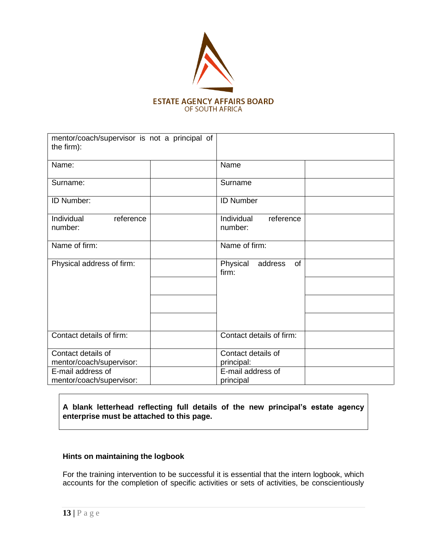

| mentor/coach/supervisor is not a principal of<br>the firm): |                                        |
|-------------------------------------------------------------|----------------------------------------|
| Name:                                                       | Name                                   |
| Surname:                                                    | Surname                                |
| ID Number:                                                  | <b>ID Number</b>                       |
| Individual<br>reference<br>number:                          | Individual<br>reference<br>number:     |
| Name of firm:                                               | Name of firm:                          |
| Physical address of firm:                                   | Physical address<br><b>of</b><br>firm: |
|                                                             |                                        |
| Contact details of firm:                                    | Contact details of firm:               |
| Contact details of<br>mentor/coach/supervisor:              | Contact details of<br>principal:       |
| E-mail address of<br>mentor/coach/supervisor:               | E-mail address of<br>principal         |

## **A blank letterhead reflecting full details of the new principal"s estate agency enterprise must be attached to this page.**

## **Hints on maintaining the logbook**

For the training intervention to be successful it is essential that the intern logbook, which accounts for the completion of specific activities or sets of activities, be conscientiously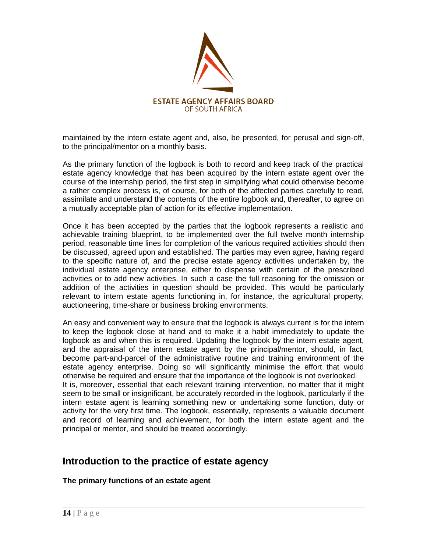

maintained by the intern estate agent and, also, be presented, for perusal and sign-off, to the principal/mentor on a monthly basis.

As the primary function of the logbook is both to record and keep track of the practical estate agency knowledge that has been acquired by the intern estate agent over the course of the internship period, the first step in simplifying what could otherwise become a rather complex process is, of course, for both of the affected parties carefully to read, assimilate and understand the contents of the entire logbook and, thereafter, to agree on a mutually acceptable plan of action for its effective implementation.

Once it has been accepted by the parties that the logbook represents a realistic and achievable training blueprint, to be implemented over the full twelve month internship period, reasonable time lines for completion of the various required activities should then be discussed, agreed upon and established. The parties may even agree, having regard to the specific nature of, and the precise estate agency activities undertaken by, the individual estate agency enterprise, either to dispense with certain of the prescribed activities or to add new activities. In such a case the full reasoning for the omission or addition of the activities in question should be provided. This would be particularly relevant to intern estate agents functioning in, for instance, the agricultural property, auctioneering, time-share or business broking environments.

An easy and convenient way to ensure that the logbook is always current is for the intern to keep the logbook close at hand and to make it a habit immediately to update the logbook as and when this is required. Updating the logbook by the intern estate agent, and the appraisal of the intern estate agent by the principal/mentor, should, in fact, become part-and-parcel of the administrative routine and training environment of the estate agency enterprise. Doing so will significantly minimise the effort that would otherwise be required and ensure that the importance of the logbook is not overlooked. It is, moreover, essential that each relevant training intervention, no matter that it might seem to be small or insignificant, be accurately recorded in the logbook, particularly if the intern estate agent is learning something new or undertaking some function, duty or activity for the very first time. The logbook, essentially, represents a valuable document and record of learning and achievement, for both the intern estate agent and the principal or mentor, and should be treated accordingly.

## **Introduction to the practice of estate agency**

## **The primary functions of an estate agent**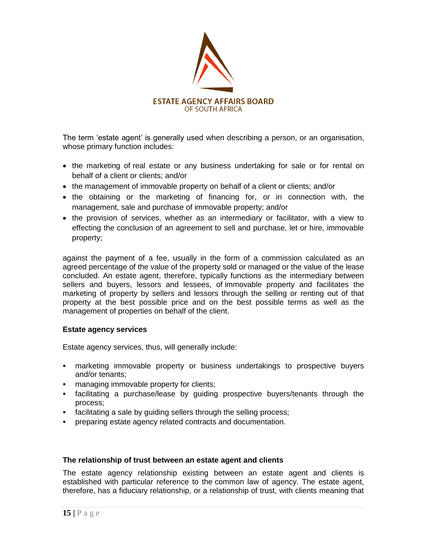

The term "estate agent" is generally used when describing a person, or an organisation, whose primary function includes:

- the marketing of real estate or any business undertaking for sale or for rental on behalf of a client or clients; and/or
- the management of immovable property on behalf of a client or clients; and/or
- the obtaining or the marketing of financing for, or in connection with, the management, sale and purchase of immovable property; and/or
- the provision of services, whether as an intermediary or facilitator, with a view to effecting the conclusion of an agreement to sell and purchase, let or hire, immovable property;

against the payment of a fee, usually in the form of a commission calculated as an agreed percentage of the value of the property sold or managed or the value of the lease concluded. An estate agent, therefore, typically functions as the intermediary between sellers and buyers, lessors and lessees, of immovable property and facilitates the marketing of property by sellers and lessors through the selling or renting out of that property at the best possible price and on the best possible terms as well as the management of properties on behalf of the client.

## **Estate agency services**

Estate agency services, thus, will generally include:

- marketing immovable property or business undertakings to prospective buyers and/or tenants;
- **EXECUTE:** managing immovable property for clients;
- facilitating a purchase/lease by guiding prospective buyers/tenants through the process;
- facilitating a sale by guiding sellers through the selling process;
- preparing estate agency related contracts and documentation.

## **The relationship of trust between an estate agent and clients**

The estate agency relationship existing between an estate agent and clients is established with particular reference to the common law of agency. The estate agent, therefore, has a fiduciary relationship, or a relationship of trust, with clients meaning that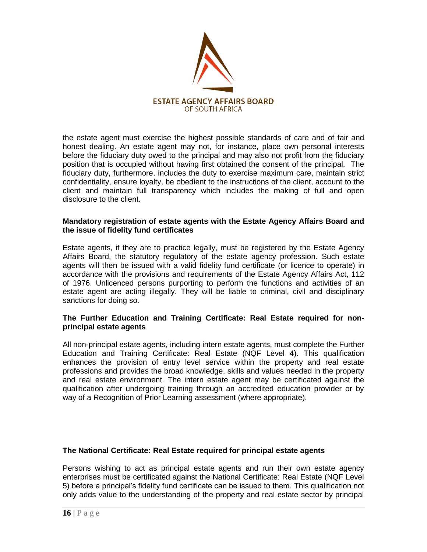

the estate agent must exercise the highest possible standards of care and of fair and honest dealing. An estate agent may not, for instance, place own personal interests before the fiduciary duty owed to the principal and may also not profit from the fiduciary position that is occupied without having first obtained the consent of the principal. The fiduciary duty, furthermore, includes the duty to exercise maximum care, maintain strict confidentiality, ensure loyalty, be obedient to the instructions of the client, account to the client and maintain full transparency which includes the making of full and open disclosure to the client.

#### **Mandatory registration of estate agents with the Estate Agency Affairs Board and the issue of fidelity fund certificates**

Estate agents, if they are to practice legally, must be registered by the Estate Agency Affairs Board, the statutory regulatory of the estate agency profession. Such estate agents will then be issued with a valid fidelity fund certificate (or licence to operate) in accordance with the provisions and requirements of the Estate Agency Affairs Act, 112 of 1976. Unlicenced persons purporting to perform the functions and activities of an estate agent are acting illegally. They will be liable to criminal, civil and disciplinary sanctions for doing so.

## **The Further Education and Training Certificate: Real Estate required for nonprincipal estate agents**

All non-principal estate agents, including intern estate agents, must complete the Further Education and Training Certificate: Real Estate (NQF Level 4). This qualification enhances the provision of entry level service within the property and real estate professions and provides the broad knowledge, skills and values needed in the property and real estate environment. The intern estate agent may be certificated against the qualification after undergoing training through an accredited education provider or by way of a Recognition of Prior Learning assessment (where appropriate).

## **The National Certificate: Real Estate required for principal estate agents**

Persons wishing to act as principal estate agents and run their own estate agency enterprises must be certificated against the National Certificate: Real Estate (NQF Level 5) before a principal"s fidelity fund certificate can be issued to them. This qualification not only adds value to the understanding of the property and real estate sector by principal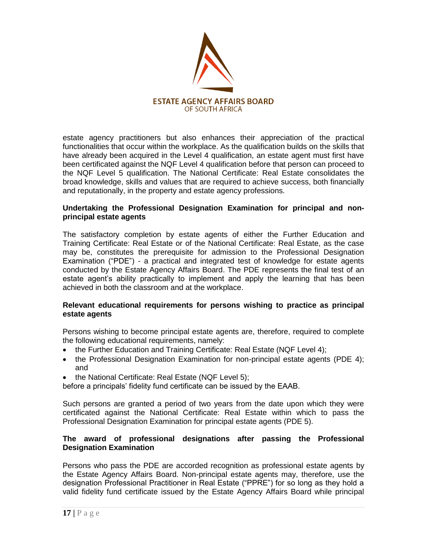

estate agency practitioners but also enhances their appreciation of the practical functionalities that occur within the workplace. As the qualification builds on the skills that have already been acquired in the Level 4 qualification, an estate agent must first have been certificated against the NQF Level 4 qualification before that person can proceed to the NQF Level 5 qualification. The National Certificate: Real Estate consolidates the broad knowledge, skills and values that are required to achieve success, both financially and reputationally, in the property and estate agency professions.

## **Undertaking the Professional Designation Examination for principal and nonprincipal estate agents**

The satisfactory completion by estate agents of either the Further Education and Training Certificate: Real Estate or of the National Certificate: Real Estate, as the case may be, constitutes the prerequisite for admission to the Professional Designation Examination ("PDE") - a practical and integrated test of knowledge for estate agents conducted by the Estate Agency Affairs Board. The PDE represents the final test of an estate agent's ability practically to implement and apply the learning that has been achieved in both the classroom and at the workplace.

## **Relevant educational requirements for persons wishing to practice as principal estate agents**

Persons wishing to become principal estate agents are, therefore, required to complete the following educational requirements, namely:

- the Further Education and Training Certificate: Real Estate (NQF Level 4);
- the Professional Designation Examination for non-principal estate agents (PDE 4); and
- the National Certificate: Real Estate (NQF Level 5);

before a principals" fidelity fund certificate can be issued by the EAAB.

Such persons are granted a period of two years from the date upon which they were certificated against the National Certificate: Real Estate within which to pass the Professional Designation Examination for principal estate agents (PDE 5).

## **The award of professional designations after passing the Professional Designation Examination**

Persons who pass the PDE are accorded recognition as professional estate agents by the Estate Agency Affairs Board. Non-principal estate agents may, therefore, use the designation Professional Practitioner in Real Estate ("PPRE") for so long as they hold a valid fidelity fund certificate issued by the Estate Agency Affairs Board while principal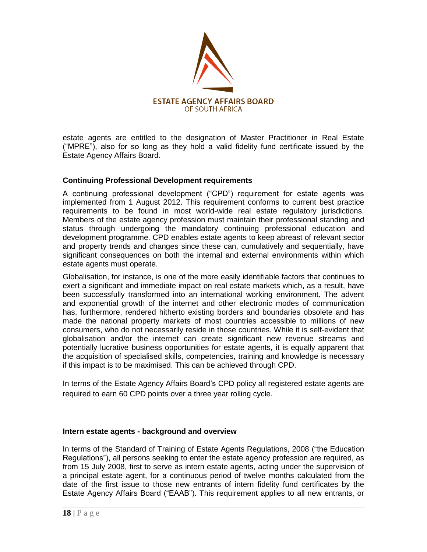

estate agents are entitled to the designation of Master Practitioner in Real Estate ("MPRE"), also for so long as they hold a valid fidelity fund certificate issued by the Estate Agency Affairs Board.

## **Continuing Professional Development requirements**

A continuing professional development ("CPD") requirement for estate agents was implemented from 1 August 2012. This requirement conforms to current best practice requirements to be found in most world-wide real estate regulatory jurisdictions. Members of the estate agency profession must maintain their professional standing and status through undergoing the mandatory continuing professional education and development programme. CPD enables estate agents to keep abreast of relevant sector and property trends and changes since these can, cumulatively and sequentially, have significant consequences on both the internal and external environments within which estate agents must operate.

Globalisation, for instance, is one of the more easily identifiable factors that continues to exert a significant and immediate impact on real estate markets which, as a result, have been successfully transformed into an international working environment. The advent and exponential growth of the internet and other electronic modes of communication has, furthermore, rendered hitherto existing borders and boundaries obsolete and has made the national property markets of most countries accessible to millions of new consumers, who do not necessarily reside in those countries. While it is self-evident that globalisation and/or the internet can create significant new revenue streams and potentially lucrative business opportunities for estate agents, it is equally apparent that the acquisition of specialised skills, competencies, training and knowledge is necessary if this impact is to be maximised. This can be achieved through CPD.

In terms of the Estate Agency Affairs Board"s CPD policy all registered estate agents are required to earn 60 CPD points over a three year rolling cycle.

## **Intern estate agents - background and overview**

In terms of the Standard of Training of Estate Agents Regulations, 2008 ("the Education Regulations"), all persons seeking to enter the estate agency profession are required, as from 15 July 2008, first to serve as intern estate agents, acting under the supervision of a principal estate agent, for a continuous period of twelve months calculated from the date of the first issue to those new entrants of intern fidelity fund certificates by the Estate Agency Affairs Board ("EAAB"). This requirement applies to all new entrants, or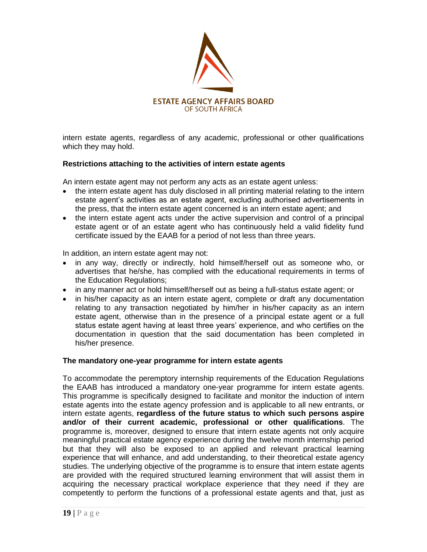

intern estate agents, regardless of any academic, professional or other qualifications which they may hold.

## **Restrictions attaching to the activities of intern estate agents**

An intern estate agent may not perform any acts as an estate agent unless:

- the intern estate agent has duly disclosed in all printing material relating to the intern estate agent"s activities as an estate agent, excluding authorised advertisements in the press, that the intern estate agent concerned is an intern estate agent; and
- the intern estate agent acts under the active supervision and control of a principal estate agent or of an estate agent who has continuously held a valid fidelity fund certificate issued by the EAAB for a period of not less than three years.

In addition, an intern estate agent may not:

- in any way, directly or indirectly, hold himself/herself out as someone who, or advertises that he/she, has complied with the educational requirements in terms of the Education Regulations;
- in any manner act or hold himself/herself out as being a full-status estate agent; or
- in his/her capacity as an intern estate agent, complete or draft any documentation relating to any transaction negotiated by him/her in his/her capacity as an intern estate agent, otherwise than in the presence of a principal estate agent or a full status estate agent having at least three years" experience, and who certifies on the documentation in question that the said documentation has been completed in his/her presence.

## **The mandatory one-year programme for intern estate agents**

To accommodate the peremptory internship requirements of the Education Regulations the EAAB has introduced a mandatory one-year programme for intern estate agents. This programme is specifically designed to facilitate and monitor the induction of intern estate agents into the estate agency profession and is applicable to all new entrants, or intern estate agents, **regardless of the future status to which such persons aspire and/or of their current academic, professional or other qualifications**. The programme is, moreover, designed to ensure that intern estate agents not only acquire meaningful practical estate agency experience during the twelve month internship period but that they will also be exposed to an applied and relevant practical learning experience that will enhance, and add understanding, to their theoretical estate agency studies. The underlying objective of the programme is to ensure that intern estate agents are provided with the required structured learning environment that will assist them in acquiring the necessary practical workplace experience that they need if they are competently to perform the functions of a professional estate agents and that, just as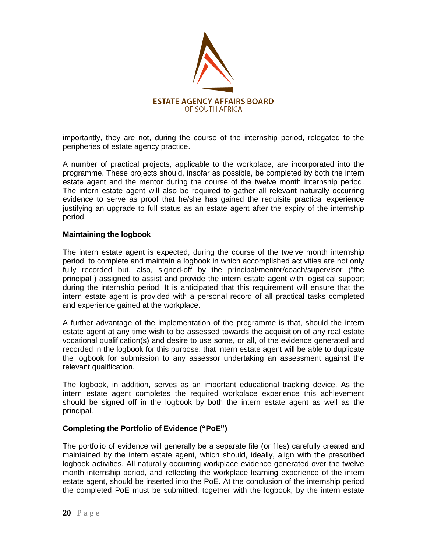

importantly, they are not, during the course of the internship period, relegated to the peripheries of estate agency practice.

A number of practical projects, applicable to the workplace, are incorporated into the programme. These projects should, insofar as possible, be completed by both the intern estate agent and the mentor during the course of the twelve month internship period. The intern estate agent will also be required to gather all relevant naturally occurring evidence to serve as proof that he/she has gained the requisite practical experience justifying an upgrade to full status as an estate agent after the expiry of the internship period.

## **Maintaining the logbook**

The intern estate agent is expected, during the course of the twelve month internship period, to complete and maintain a logbook in which accomplished activities are not only fully recorded but, also, signed-off by the principal/mentor/coach/supervisor ("the principal") assigned to assist and provide the intern estate agent with logistical support during the internship period. It is anticipated that this requirement will ensure that the intern estate agent is provided with a personal record of all practical tasks completed and experience gained at the workplace.

A further advantage of the implementation of the programme is that, should the intern estate agent at any time wish to be assessed towards the acquisition of any real estate vocational qualification(s) and desire to use some, or all, of the evidence generated and recorded in the logbook for this purpose, that intern estate agent will be able to duplicate the logbook for submission to any assessor undertaking an assessment against the relevant qualification.

The logbook, in addition, serves as an important educational tracking device. As the intern estate agent completes the required workplace experience this achievement should be signed off in the logbook by both the intern estate agent as well as the principal.

## **Completing the Portfolio of Evidence ("PoE")**

The portfolio of evidence will generally be a separate file (or files) carefully created and maintained by the intern estate agent, which should, ideally, align with the prescribed logbook activities. All naturally occurring workplace evidence generated over the twelve month internship period, and reflecting the workplace learning experience of the intern estate agent, should be inserted into the PoE. At the conclusion of the internship period the completed PoE must be submitted, together with the logbook, by the intern estate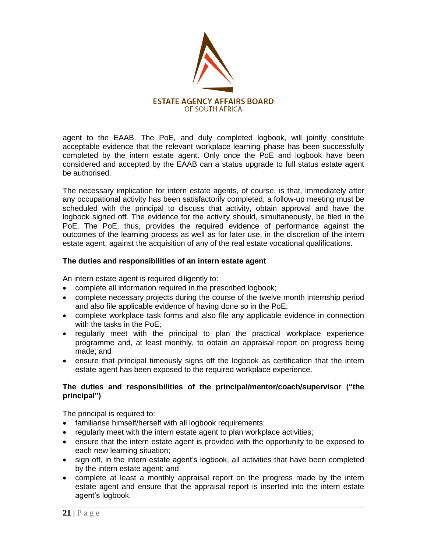

agent to the EAAB. The PoE, and duly completed logbook, will jointly constitute acceptable evidence that the relevant workplace learning phase has been successfully completed by the intern estate agent. Only once the PoE and logbook have been considered and accepted by the EAAB can a status upgrade to full status estate agent be authorised.

The necessary implication for intern estate agents, of course, is that, immediately after any occupational activity has been satisfactorily completed, a follow-up meeting must be scheduled with the principal to discuss that activity, obtain approval and have the logbook signed off. The evidence for the activity should, simultaneously, be filed in the PoE. The PoE, thus, provides the required evidence of performance against the outcomes of the learning process as well as for later use, in the discretion of the intern estate agent, against the acquisition of any of the real estate vocational qualifications.

## **The duties and responsibilities of an intern estate agent**

An intern estate agent is required diligently to:

- complete all information required in the prescribed logbook;
- complete necessary projects during the course of the twelve month internship period and also file applicable evidence of having done so in the PoE;
- complete workplace task forms and also file any applicable evidence in connection with the tasks in the PoE;
- regularly meet with the principal to plan the practical workplace experience programme and, at least monthly, to obtain an appraisal report on progress being made; and
- ensure that principal timeously signs off the logbook as certification that the intern estate agent has been exposed to the required workplace experience.

## **The duties and responsibilities of the principal/mentor/coach/supervisor ("the principal")**

The principal is required to:

- familiarise himself/herself with all logbook requirements;
- regularly meet with the intern estate agent to plan workplace activities;
- ensure that the intern estate agent is provided with the opportunity to be exposed to each new learning situation;
- sign off, in the intern estate agent's logbook, all activities that have been completed by the intern estate agent; and
- complete at least a monthly appraisal report on the progress made by the intern estate agent and ensure that the appraisal report is inserted into the intern estate agent"s logbook.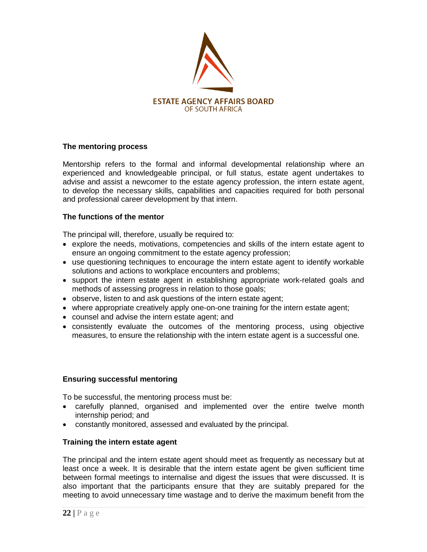

## **The mentoring process**

Mentorship refers to the formal and informal developmental relationship where an experienced and knowledgeable principal, or full status, estate agent undertakes to advise and assist a newcomer to the estate agency profession, the intern estate agent, to develop the necessary skills, capabilities and capacities required for both personal and professional career development by that intern.

## **The functions of the mentor**

The principal will, therefore, usually be required to:

- explore the needs, motivations, competencies and skills of the intern estate agent to ensure an ongoing commitment to the estate agency profession;
- use questioning techniques to encourage the intern estate agent to identify workable solutions and actions to workplace encounters and problems;
- support the intern estate agent in establishing appropriate work-related goals and methods of assessing progress in relation to those goals;
- observe, listen to and ask questions of the intern estate agent;
- where appropriate creatively apply one-on-one training for the intern estate agent;
- counsel and advise the intern estate agent; and
- consistently evaluate the outcomes of the mentoring process, using objective measures, to ensure the relationship with the intern estate agent is a successful one.

## **Ensuring successful mentoring**

To be successful, the mentoring process must be:

- carefully planned, organised and implemented over the entire twelve month internship period; and
- constantly monitored, assessed and evaluated by the principal.

## **Training the intern estate agent**

The principal and the intern estate agent should meet as frequently as necessary but at least once a week. It is desirable that the intern estate agent be given sufficient time between formal meetings to internalise and digest the issues that were discussed. It is also important that the participants ensure that they are suitably prepared for the meeting to avoid unnecessary time wastage and to derive the maximum benefit from the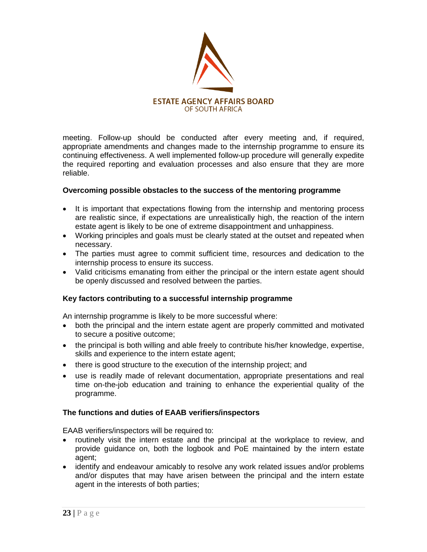

meeting. Follow-up should be conducted after every meeting and, if required, appropriate amendments and changes made to the internship programme to ensure its continuing effectiveness. A well implemented follow-up procedure will generally expedite the required reporting and evaluation processes and also ensure that they are more reliable.

## **Overcoming possible obstacles to the success of the mentoring programme**

- It is important that expectations flowing from the internship and mentoring process are realistic since, if expectations are unrealistically high, the reaction of the intern estate agent is likely to be one of extreme disappointment and unhappiness.
- Working principles and goals must be clearly stated at the outset and repeated when necessary.
- The parties must agree to commit sufficient time, resources and dedication to the internship process to ensure its success.
- Valid criticisms emanating from either the principal or the intern estate agent should be openly discussed and resolved between the parties.

## **Key factors contributing to a successful internship programme**

An internship programme is likely to be more successful where:

- both the principal and the intern estate agent are properly committed and motivated to secure a positive outcome;
- the principal is both willing and able freely to contribute his/her knowledge, expertise, skills and experience to the intern estate agent;
- there is good structure to the execution of the internship project; and
- use is readily made of relevant documentation, appropriate presentations and real time on-the-job education and training to enhance the experiential quality of the programme.

## **The functions and duties of EAAB verifiers/inspectors**

EAAB verifiers/inspectors will be required to:

- routinely visit the intern estate and the principal at the workplace to review, and provide guidance on, both the logbook and PoE maintained by the intern estate agent;
- identify and endeavour amicably to resolve any work related issues and/or problems and/or disputes that may have arisen between the principal and the intern estate agent in the interests of both parties;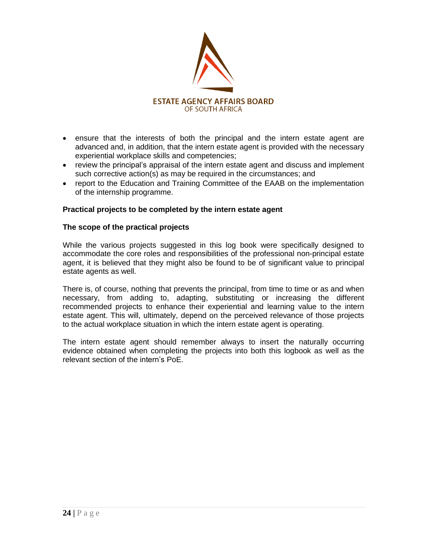

- ensure that the interests of both the principal and the intern estate agent are advanced and, in addition, that the intern estate agent is provided with the necessary experiential workplace skills and competencies;
- review the principal's appraisal of the intern estate agent and discuss and implement such corrective action(s) as may be required in the circumstances; and
- report to the Education and Training Committee of the EAAB on the implementation of the internship programme.

## **Practical projects to be completed by the intern estate agent**

#### **The scope of the practical projects**

While the various projects suggested in this log book were specifically designed to accommodate the core roles and responsibilities of the professional non-principal estate agent, it is believed that they might also be found to be of significant value to principal estate agents as well.

There is, of course, nothing that prevents the principal, from time to time or as and when necessary, from adding to, adapting, substituting or increasing the different recommended projects to enhance their experiential and learning value to the intern estate agent. This will, ultimately, depend on the perceived relevance of those projects to the actual workplace situation in which the intern estate agent is operating.

The intern estate agent should remember always to insert the naturally occurring evidence obtained when completing the projects into both this logbook as well as the relevant section of the intern"s PoE.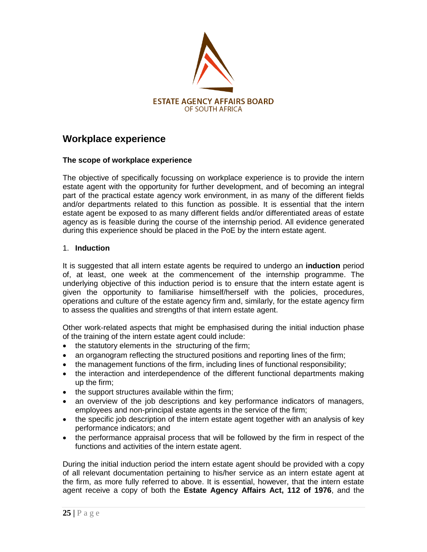

# **Workplace experience**

## **The scope of workplace experience**

The objective of specifically focussing on workplace experience is to provide the intern estate agent with the opportunity for further development, and of becoming an integral part of the practical estate agency work environment, in as many of the different fields and/or departments related to this function as possible. It is essential that the intern estate agent be exposed to as many different fields and/or differentiated areas of estate agency as is feasible during the course of the internship period. All evidence generated during this experience should be placed in the PoE by the intern estate agent.

## 1. **Induction**

It is suggested that all intern estate agents be required to undergo an **induction** period of, at least, one week at the commencement of the internship programme. The underlying objective of this induction period is to ensure that the intern estate agent is given the opportunity to familiarise himself/herself with the policies, procedures, operations and culture of the estate agency firm and, similarly, for the estate agency firm to assess the qualities and strengths of that intern estate agent.

Other work-related aspects that might be emphasised during the initial induction phase of the training of the intern estate agent could include:

- the statutory elements in the structuring of the firm;
- an organogram reflecting the structured positions and reporting lines of the firm;
- the management functions of the firm, including lines of functional responsibility;
- the interaction and interdependence of the different functional departments making up the firm;
- the support structures available within the firm;
- an overview of the job descriptions and key performance indicators of managers, employees and non-principal estate agents in the service of the firm;
- the specific job description of the intern estate agent together with an analysis of key performance indicators; and
- the performance appraisal process that will be followed by the firm in respect of the functions and activities of the intern estate agent.

During the initial induction period the intern estate agent should be provided with a copy of all relevant documentation pertaining to his/her service as an intern estate agent at the firm, as more fully referred to above. It is essential, however, that the intern estate agent receive a copy of both the **Estate Agency Affairs Act, 112 of 1976**, and the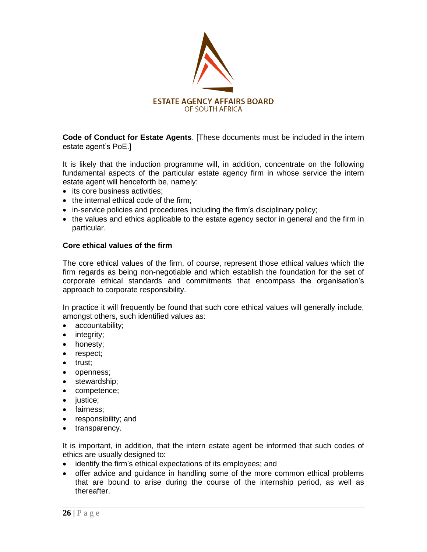

**Code of Conduct for Estate Agents**. [These documents must be included in the intern estate agent"s PoE.]

It is likely that the induction programme will, in addition, concentrate on the following fundamental aspects of the particular estate agency firm in whose service the intern estate agent will henceforth be, namely:

- its core business activities;
- the internal ethical code of the firm;
- in-service policies and procedures including the firm"s disciplinary policy;
- the values and ethics applicable to the estate agency sector in general and the firm in particular.

## **Core ethical values of the firm**

The core ethical values of the firm, of course, represent those ethical values which the firm regards as being non-negotiable and which establish the foundation for the set of corporate ethical standards and commitments that encompass the organisation"s approach to corporate responsibility.

In practice it will frequently be found that such core ethical values will generally include, amongst others, such identified values as:

- accountability;
- integrity;
- honesty;
- respect;
- trust;
- openness;
- stewardship;
- competence;
- justice;
- fairness;
- responsibility; and
- transparency.

It is important, in addition, that the intern estate agent be informed that such codes of ethics are usually designed to:

- identify the firm"s ethical expectations of its employees; and
- offer advice and guidance in handling some of the more common ethical problems that are bound to arise during the course of the internship period, as well as thereafter.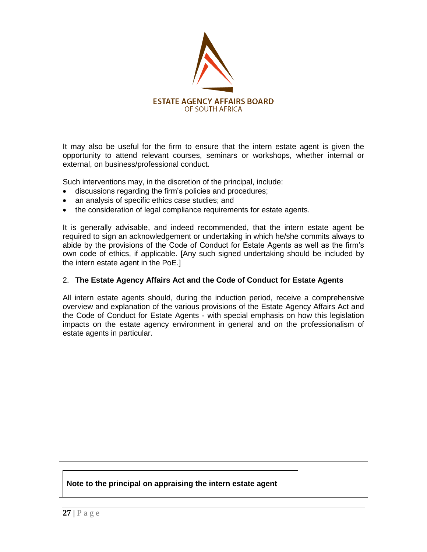

It may also be useful for the firm to ensure that the intern estate agent is given the opportunity to attend relevant courses, seminars or workshops, whether internal or external, on business/professional conduct.

Such interventions may, in the discretion of the principal, include:

- discussions regarding the firm"s policies and procedures;
- an analysis of specific ethics case studies; and
- the consideration of legal compliance requirements for estate agents.

It is generally advisable, and indeed recommended, that the intern estate agent be required to sign an acknowledgement or undertaking in which he/she commits always to abide by the provisions of the Code of Conduct for Estate Agents as well as the firm"s own code of ethics, if applicable. [Any such signed undertaking should be included by the intern estate agent in the PoE.]

## 2. **The Estate Agency Affairs Act and the Code of Conduct for Estate Agents**

All intern estate agents should, during the induction period, receive a comprehensive overview and explanation of the various provisions of the Estate Agency Affairs Act and the Code of Conduct for Estate Agents - with special emphasis on how this legislation impacts on the estate agency environment in general and on the professionalism of estate agents in particular.

## **Note to the principal on appraising the intern estate agent**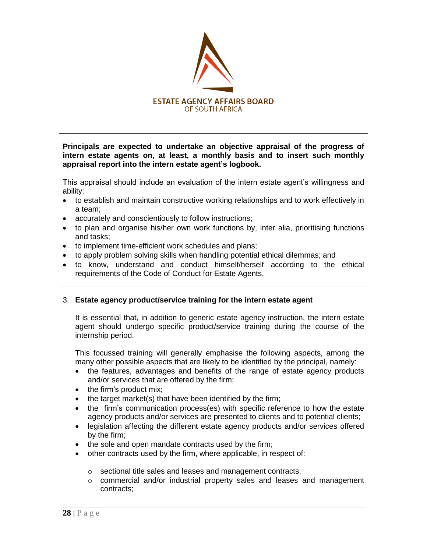

**Principals are expected to undertake an objective appraisal of the progress of intern estate agents on, at least, a monthly basis and to insert such monthly appraisal report into the intern estate agent"s logbook.** 

This appraisal should include an evaluation of the intern estate agent"s willingness and ability:

- to establish and maintain constructive working relationships and to work effectively in a team;
- accurately and conscientiously to follow instructions;
- to plan and organise his/her own work functions by, inter alia, prioritising functions and tasks;
- to implement time-efficient work schedules and plans;
- to apply problem solving skills when handling potential ethical dilemmas; and
- to know, understand and conduct himself/herself according to the ethical requirements of the Code of Conduct for Estate Agents.

## 3. **Estate agency product/service training for the intern estate agent**

It is essential that, in addition to generic estate agency instruction, the intern estate agent should undergo specific product/service training during the course of the internship period.

This focussed training will generally emphasise the following aspects, among the many other possible aspects that are likely to be identified by the principal, namely:

- the features, advantages and benefits of the range of estate agency products and/or services that are offered by the firm;
- the firm's product mix;
- $\bullet$  the target market(s) that have been identified by the firm;
- the firm"s communication process(es) with specific reference to how the estate agency products and/or services are presented to clients and to potential clients;
- legislation affecting the different estate agency products and/or services offered by the firm;
- the sole and open mandate contracts used by the firm;
- other contracts used by the firm, where applicable, in respect of:
	- o sectional title sales and leases and management contracts;
	- $\circ$  commercial and/or industrial property sales and leases and management contracts;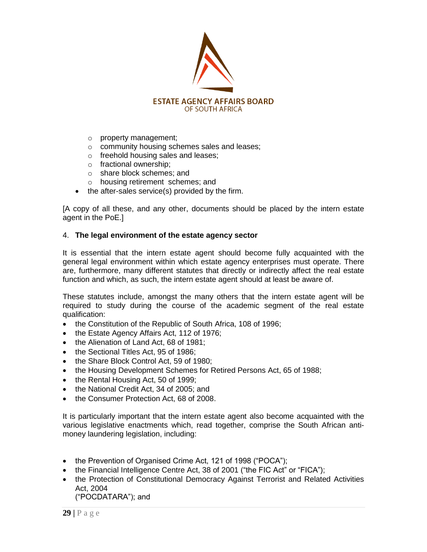

- o property management;
- o community housing schemes sales and leases;
- o freehold housing sales and leases;
- o fractional ownership;
- o share block schemes; and
- o housing retirement schemes; and
- $\bullet$  the after-sales service(s) provided by the firm.

[A copy of all these, and any other, documents should be placed by the intern estate agent in the PoE.]

#### 4. **The legal environment of the estate agency sector**

It is essential that the intern estate agent should become fully acquainted with the general legal environment within which estate agency enterprises must operate. There are, furthermore, many different statutes that directly or indirectly affect the real estate function and which, as such, the intern estate agent should at least be aware of.

These statutes include, amongst the many others that the intern estate agent will be required to study during the course of the academic segment of the real estate qualification:

- the Constitution of the Republic of South Africa, 108 of 1996;
- the Estate Agency Affairs Act, 112 of 1976;
- the Alienation of Land Act, 68 of 1981:
- the Sectional Titles Act, 95 of 1986;
- the Share Block Control Act, 59 of 1980;
- the Housing Development Schemes for Retired Persons Act, 65 of 1988;
- the Rental Housing Act, 50 of 1999;
- the National Credit Act, 34 of 2005; and
- the Consumer Protection Act, 68 of 2008.

It is particularly important that the intern estate agent also become acquainted with the various legislative enactments which, read together, comprise the South African antimoney laundering legislation, including:

- the Prevention of Organised Crime Act, 121 of 1998 ("POCA");
- the Financial Intelligence Centre Act, 38 of 2001 ("the FIC Act" or "FICA");
- the Protection of Constitutional Democracy Against Terrorist and Related Activities Act, 2004 ("POCDATARA"); and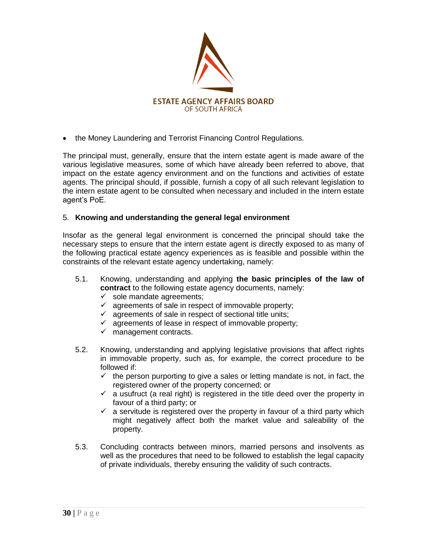

the Money Laundering and Terrorist Financing Control Regulations.

The principal must, generally, ensure that the intern estate agent is made aware of the various legislative measures, some of which have already been referred to above, that impact on the estate agency environment and on the functions and activities of estate agents. The principal should, if possible, furnish a copy of all such relevant legislation to the intern estate agent to be consulted when necessary and included in the intern estate agent"s PoE.

## 5. **Knowing and understanding the general legal environment**

Insofar as the general legal environment is concerned the principal should take the necessary steps to ensure that the intern estate agent is directly exposed to as many of the following practical estate agency experiences as is feasible and possible within the constraints of the relevant estate agency undertaking, namely:

- 5.1. Knowing, understanding and applying **the basic principles of the law of contract** to the following estate agency documents, namely:
	- $\checkmark$  sole mandate agreements;
	- $\checkmark$  agreements of sale in respect of immovable property;
	- $\checkmark$  agreements of sale in respect of sectional title units;
	- $\checkmark$  agreements of lease in respect of immovable property;
	- $\checkmark$  management contracts.
- 5.2. Knowing, understanding and applying legislative provisions that affect rights in immovable property, such as, for example, the correct procedure to be followed if:
	- $\checkmark$  the person purporting to give a sales or letting mandate is not, in fact, the registered owner of the property concerned; or
	- $\checkmark$  a usufruct (a real right) is registered in the title deed over the property in favour of a third party; or
	- $\checkmark$  a servitude is registered over the property in favour of a third party which might negatively affect both the market value and saleability of the property.
- 5.3. Concluding contracts between minors, married persons and insolvents as well as the procedures that need to be followed to establish the legal capacity of private individuals, thereby ensuring the validity of such contracts.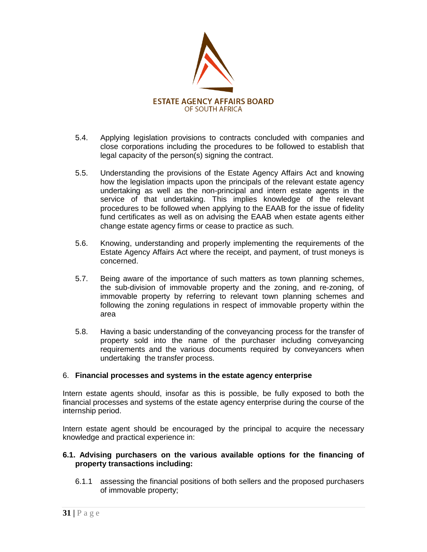

- 5.4. Applying legislation provisions to contracts concluded with companies and close corporations including the procedures to be followed to establish that legal capacity of the person(s) signing the contract.
- 5.5. Understanding the provisions of the Estate Agency Affairs Act and knowing how the legislation impacts upon the principals of the relevant estate agency undertaking as well as the non-principal and intern estate agents in the service of that undertaking. This implies knowledge of the relevant procedures to be followed when applying to the EAAB for the issue of fidelity fund certificates as well as on advising the EAAB when estate agents either change estate agency firms or cease to practice as such.
- 5.6. Knowing, understanding and properly implementing the requirements of the Estate Agency Affairs Act where the receipt, and payment, of trust moneys is concerned.
- 5.7. Being aware of the importance of such matters as town planning schemes, the sub-division of immovable property and the zoning, and re-zoning, of immovable property by referring to relevant town planning schemes and following the zoning regulations in respect of immovable property within the area
- 5.8. Having a basic understanding of the conveyancing process for the transfer of property sold into the name of the purchaser including conveyancing requirements and the various documents required by conveyancers when undertaking the transfer process.

## 6. **Financial processes and systems in the estate agency enterprise**

Intern estate agents should, insofar as this is possible, be fully exposed to both the financial processes and systems of the estate agency enterprise during the course of the internship period.

Intern estate agent should be encouraged by the principal to acquire the necessary knowledge and practical experience in:

## **6.1. Advising purchasers on the various available options for the financing of property transactions including:**

6.1.1 assessing the financial positions of both sellers and the proposed purchasers of immovable property;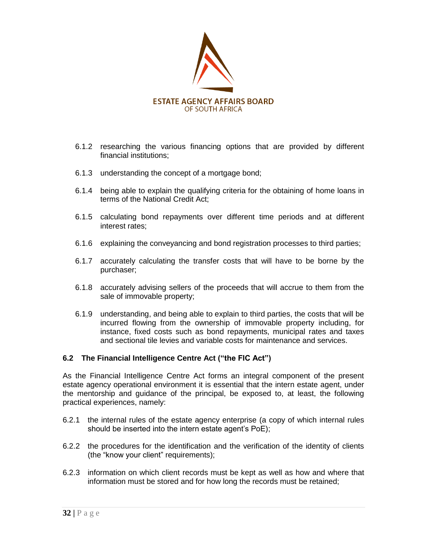

- 6.1.2 researching the various financing options that are provided by different financial institutions;
- 6.1.3 understanding the concept of a mortgage bond;
- 6.1.4 being able to explain the qualifying criteria for the obtaining of home loans in terms of the National Credit Act;
- 6.1.5 calculating bond repayments over different time periods and at different interest rates;
- 6.1.6 explaining the conveyancing and bond registration processes to third parties;
- 6.1.7 accurately calculating the transfer costs that will have to be borne by the purchaser;
- 6.1.8 accurately advising sellers of the proceeds that will accrue to them from the sale of immovable property;
- 6.1.9 understanding, and being able to explain to third parties, the costs that will be incurred flowing from the ownership of immovable property including, for instance, fixed costs such as bond repayments, municipal rates and taxes and sectional tile levies and variable costs for maintenance and services.

## **6.2 The Financial Intelligence Centre Act ("the FIC Act")**

As the Financial Intelligence Centre Act forms an integral component of the present estate agency operational environment it is essential that the intern estate agent, under the mentorship and guidance of the principal, be exposed to, at least, the following practical experiences, namely:

- 6.2.1 the internal rules of the estate agency enterprise (a copy of which internal rules should be inserted into the intern estate agent's PoE);
- 6.2.2 the procedures for the identification and the verification of the identity of clients (the "know your client" requirements);
- 6.2.3 information on which client records must be kept as well as how and where that information must be stored and for how long the records must be retained;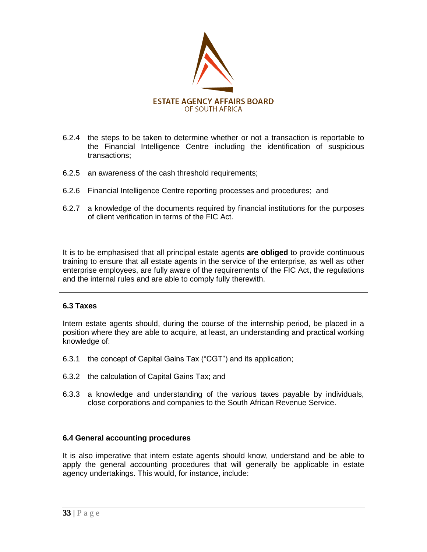

- 6.2.4 the steps to be taken to determine whether or not a transaction is reportable to the Financial Intelligence Centre including the identification of suspicious transactions;
- 6.2.5 an awareness of the cash threshold requirements;
- 6.2.6 Financial Intelligence Centre reporting processes and procedures; and
- 6.2.7 a knowledge of the documents required by financial institutions for the purposes of client verification in terms of the FIC Act.

It is to be emphasised that all principal estate agents **are obliged** to provide continuous training to ensure that all estate agents in the service of the enterprise, as well as other enterprise employees, are fully aware of the requirements of the FIC Act, the regulations and the internal rules and are able to comply fully therewith.

## **6.3 Taxes**

Intern estate agents should, during the course of the internship period, be placed in a position where they are able to acquire, at least, an understanding and practical working knowledge of:

- 6.3.1 the concept of Capital Gains Tax ("CGT") and its application;
- 6.3.2 the calculation of Capital Gains Tax; and
- 6.3.3 a knowledge and understanding of the various taxes payable by individuals, close corporations and companies to the South African Revenue Service.

## **6.4 General accounting procedures**

It is also imperative that intern estate agents should know, understand and be able to apply the general accounting procedures that will generally be applicable in estate agency undertakings. This would, for instance, include: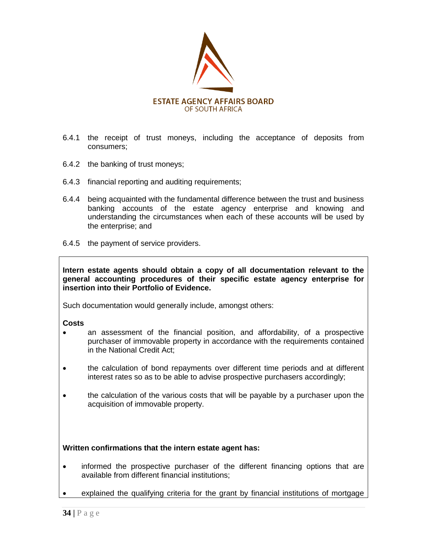

- 6.4.1 the receipt of trust moneys, including the acceptance of deposits from consumers;
- 6.4.2 the banking of trust moneys;
- 6.4.3 financial reporting and auditing requirements;
- 6.4.4 being acquainted with the fundamental difference between the trust and business banking accounts of the estate agency enterprise and knowing and understanding the circumstances when each of these accounts will be used by the enterprise; and
- 6.4.5 the payment of service providers.

**Intern estate agents should obtain a copy of all documentation relevant to the general accounting procedures of their specific estate agency enterprise for insertion into their Portfolio of Evidence.**

Such documentation would generally include, amongst others:

#### **Costs**

- an assessment of the financial position, and affordability, of a prospective purchaser of immovable property in accordance with the requirements contained in the National Credit Act;
- the calculation of bond repayments over different time periods and at different interest rates so as to be able to advise prospective purchasers accordingly;
- the calculation of the various costs that will be payable by a purchaser upon the acquisition of immovable property.

## **Written confirmations that the intern estate agent has:**

- informed the prospective purchaser of the different financing options that are available from different financial institutions;
- explained the qualifying criteria for the grant by financial institutions of mortgage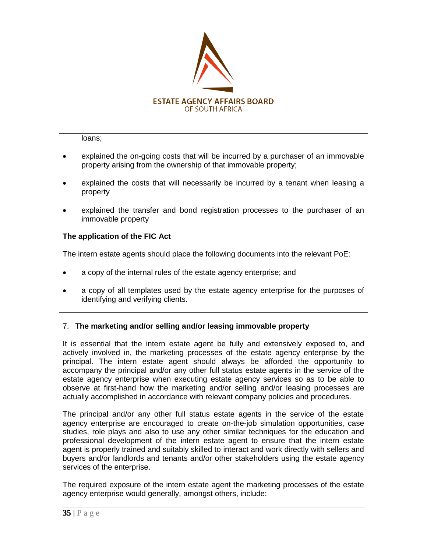

loans;

- explained the on-going costs that will be incurred by a purchaser of an immovable property arising from the ownership of that immovable property;
- explained the costs that will necessarily be incurred by a tenant when leasing a property
- explained the transfer and bond registration processes to the purchaser of an immovable property

## **The application of the FIC Act**

The intern estate agents should place the following documents into the relevant PoE:

- a copy of the internal rules of the estate agency enterprise; and
- a copy of all templates used by the estate agency enterprise for the purposes of identifying and verifying clients.

## 7. **The marketing and/or selling and/or leasing immovable property**

It is essential that the intern estate agent be fully and extensively exposed to, and actively involved in, the marketing processes of the estate agency enterprise by the principal. The intern estate agent should always be afforded the opportunity to accompany the principal and/or any other full status estate agents in the service of the estate agency enterprise when executing estate agency services so as to be able to observe at first-hand how the marketing and/or selling and/or leasing processes are actually accomplished in accordance with relevant company policies and procedures.

The principal and/or any other full status estate agents in the service of the estate agency enterprise are encouraged to create on-the-job simulation opportunities, case studies, role plays and also to use any other similar techniques for the education and professional development of the intern estate agent to ensure that the intern estate agent is properly trained and suitably skilled to interact and work directly with sellers and buyers and/or landlords and tenants and/or other stakeholders using the estate agency services of the enterprise.

The required exposure of the intern estate agent the marketing processes of the estate agency enterprise would generally, amongst others, include: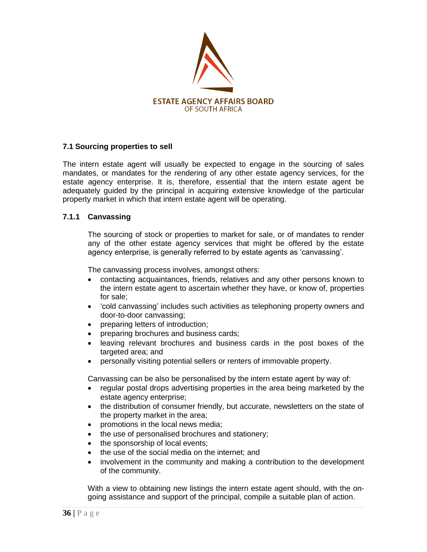

## **7.1 Sourcing properties to sell**

The intern estate agent will usually be expected to engage in the sourcing of sales mandates, or mandates for the rendering of any other estate agency services, for the estate agency enterprise. It is, therefore, essential that the intern estate agent be adequately guided by the principal in acquiring extensive knowledge of the particular property market in which that intern estate agent will be operating.

## **7.1.1 Canvassing**

The sourcing of stock or properties to market for sale, or of mandates to render any of the other estate agency services that might be offered by the estate agency enterprise, is generally referred to by estate agents as "canvassing".

The canvassing process involves, amongst others:

- contacting acquaintances, friends, relatives and any other persons known to the intern estate agent to ascertain whether they have, or know of, properties for sale;
- 'cold canvassing' includes such activities as telephoning property owners and door-to-door canvassing;
- preparing letters of introduction;
- preparing brochures and business cards;
- leaving relevant brochures and business cards in the post boxes of the targeted area; and
- personally visiting potential sellers or renters of immovable property.

Canvassing can be also be personalised by the intern estate agent by way of:

- regular postal drops advertising properties in the area being marketed by the estate agency enterprise;
- the distribution of consumer friendly, but accurate, newsletters on the state of the property market in the area;
- promotions in the local news media;
- the use of personalised brochures and stationery;
- the sponsorship of local events;
- the use of the social media on the internet; and
- involvement in the community and making a contribution to the development of the community.

With a view to obtaining new listings the intern estate agent should, with the ongoing assistance and support of the principal, compile a suitable plan of action.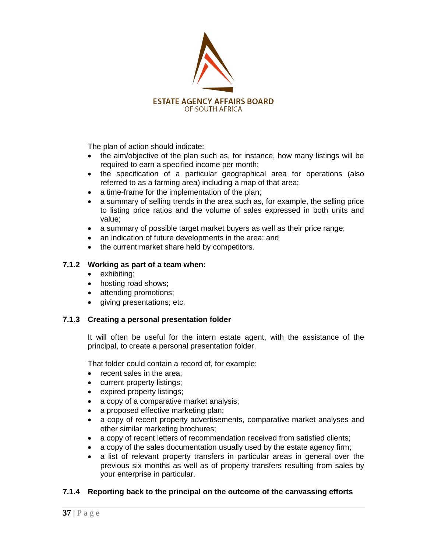

The plan of action should indicate:

- the aim/objective of the plan such as, for instance, how many listings will be required to earn a specified income per month;
- the specification of a particular geographical area for operations (also referred to as a farming area) including a map of that area;
- a time-frame for the implementation of the plan;
- a summary of selling trends in the area such as, for example, the selling price to listing price ratios and the volume of sales expressed in both units and value;
- a summary of possible target market buyers as well as their price range;
- an indication of future developments in the area; and
- the current market share held by competitors.

#### **7.1.2 Working as part of a team when:**

- exhibiting;
- hosting road shows;
- attending promotions;
- giving presentations; etc.

#### **7.1.3 Creating a personal presentation folder**

It will often be useful for the intern estate agent, with the assistance of the principal, to create a personal presentation folder.

That folder could contain a record of, for example:

- recent sales in the area:
- current property listings;
- expired property listings;
- a copy of a comparative market analysis;
- a proposed effective marketing plan;
- a copy of recent property advertisements, comparative market analyses and other similar marketing brochures;
- a copy of recent letters of recommendation received from satisfied clients;
- a copy of the sales documentation usually used by the estate agency firm;
- a list of relevant property transfers in particular areas in general over the previous six months as well as of property transfers resulting from sales by your enterprise in particular.

## **7.1.4 Reporting back to the principal on the outcome of the canvassing efforts**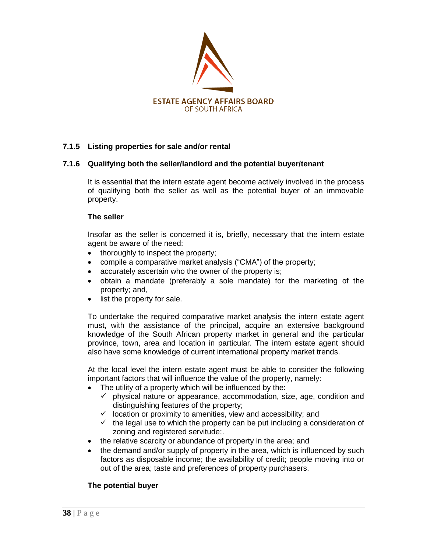

## **7.1.5 Listing properties for sale and/or rental**

#### **7.1.6 Qualifying both the seller/landlord and the potential buyer/tenant**

It is essential that the intern estate agent become actively involved in the process of qualifying both the seller as well as the potential buyer of an immovable property.

#### **The seller**

Insofar as the seller is concerned it is, briefly, necessary that the intern estate agent be aware of the need:

- thoroughly to inspect the property;
- compile a comparative market analysis ("CMA") of the property;
- accurately ascertain who the owner of the property is;
- obtain a mandate (preferably a sole mandate) for the marketing of the property; and,
- list the property for sale.

To undertake the required comparative market analysis the intern estate agent must, with the assistance of the principal, acquire an extensive background knowledge of the South African property market in general and the particular province, town, area and location in particular. The intern estate agent should also have some knowledge of current international property market trends.

At the local level the intern estate agent must be able to consider the following important factors that will influence the value of the property, namely:

- The utility of a property which will be influenced by the:
	- $\checkmark$  physical nature or appearance, accommodation, size, age, condition and distinguishing features of the property;
	- $\checkmark$  location or proximity to amenities, view and accessibility; and
	- $\checkmark$  the legal use to which the property can be put including a consideration of zoning and registered servitude;.
- the relative scarcity or abundance of property in the area; and
- the demand and/or supply of property in the area, which is influenced by such factors as disposable income; the availability of credit; people moving into or out of the area; taste and preferences of property purchasers.

## **The potential buyer**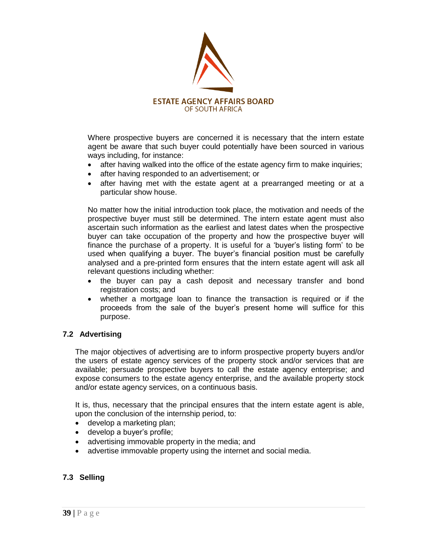

Where prospective buyers are concerned it is necessary that the intern estate agent be aware that such buyer could potentially have been sourced in various ways including, for instance:

- after having walked into the office of the estate agency firm to make inquiries;
- after having responded to an advertisement; or
- after having met with the estate agent at a prearranged meeting or at a particular show house.

No matter how the initial introduction took place, the motivation and needs of the prospective buyer must still be determined. The intern estate agent must also ascertain such information as the earliest and latest dates when the prospective buyer can take occupation of the property and how the prospective buyer will finance the purchase of a property. It is useful for a "buyer"s listing form" to be used when qualifying a buyer. The buyer"s financial position must be carefully analysed and a pre-printed form ensures that the intern estate agent will ask all relevant questions including whether:

- the buyer can pay a cash deposit and necessary transfer and bond registration costs; and
- whether a mortgage loan to finance the transaction is required or if the proceeds from the sale of the buyer"s present home will suffice for this purpose.

#### **7.2 Advertising**

The major objectives of advertising are to inform prospective property buyers and/or the users of estate agency services of the property stock and/or services that are available; persuade prospective buyers to call the estate agency enterprise; and expose consumers to the estate agency enterprise, and the available property stock and/or estate agency services, on a continuous basis.

It is, thus, necessary that the principal ensures that the intern estate agent is able, upon the conclusion of the internship period, to:

- develop a marketing plan;
- develop a buyer's profile;
- advertising immovable property in the media; and
- advertise immovable property using the internet and social media.

#### **7.3 Selling**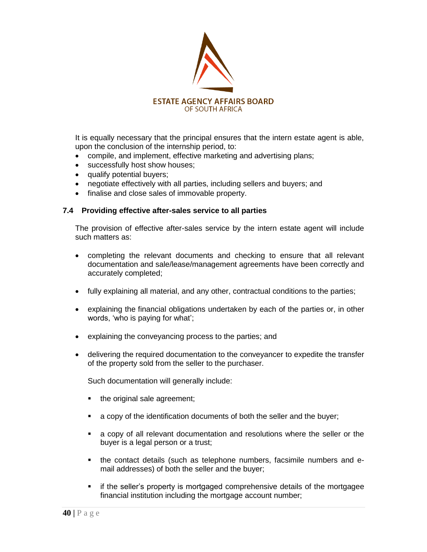

It is equally necessary that the principal ensures that the intern estate agent is able, upon the conclusion of the internship period, to:

- compile, and implement, effective marketing and advertising plans;
- successfully host show houses;
- qualify potential buyers;
- negotiate effectively with all parties, including sellers and buyers; and
- finalise and close sales of immovable property.

#### **7.4 Providing effective after-sales service to all parties**

The provision of effective after-sales service by the intern estate agent will include such matters as:

- completing the relevant documents and checking to ensure that all relevant documentation and sale/lease/management agreements have been correctly and accurately completed;
- fully explaining all material, and any other, contractual conditions to the parties;
- explaining the financial obligations undertaken by each of the parties or, in other words, 'who is paying for what';
- explaining the conveyancing process to the parties; and
- delivering the required documentation to the conveyancer to expedite the transfer of the property sold from the seller to the purchaser.

Such documentation will generally include:

- the original sale agreement;
- a copy of the identification documents of both the seller and the buyer;
- a copy of all relevant documentation and resolutions where the seller or the buyer is a legal person or a trust;
- the contact details (such as telephone numbers, facsimile numbers and email addresses) of both the seller and the buyer;
- **if the seller's property is mortgaged comprehensive details of the mortgagee** financial institution including the mortgage account number;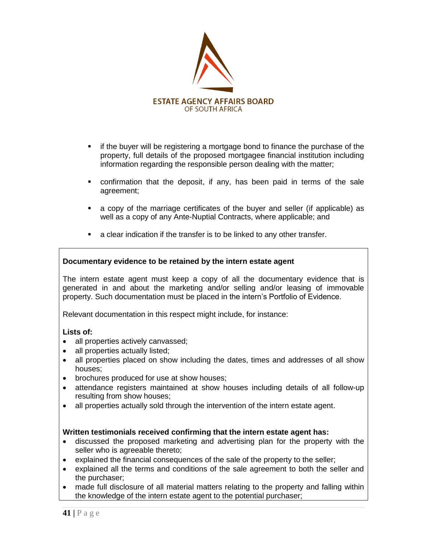

- if the buyer will be registering a mortgage bond to finance the purchase of the property, full details of the proposed mortgagee financial institution including information regarding the responsible person dealing with the matter;
- confirmation that the deposit, if any, has been paid in terms of the sale agreement;
- a copy of the marriage certificates of the buyer and seller (if applicable) as well as a copy of any Ante-Nuptial Contracts, where applicable; and
- a clear indication if the transfer is to be linked to any other transfer.

#### **Documentary evidence to be retained by the intern estate agent**

The intern estate agent must keep a copy of all the documentary evidence that is generated in and about the marketing and/or selling and/or leasing of immovable property. Such documentation must be placed in the intern"s Portfolio of Evidence.

Relevant documentation in this respect might include, for instance:

#### **Lists of:**

- all properties actively canvassed;
- all properties actually listed;
- all properties placed on show including the dates, times and addresses of all show houses;
- brochures produced for use at show houses;
- attendance registers maintained at show houses including details of all follow-up resulting from show houses;
- all properties actually sold through the intervention of the intern estate agent.

#### **Written testimonials received confirming that the intern estate agent has:**

- discussed the proposed marketing and advertising plan for the property with the seller who is agreeable thereto;
- explained the financial consequences of the sale of the property to the seller;
- explained all the terms and conditions of the sale agreement to both the seller and the purchaser;
- made full disclosure of all material matters relating to the property and falling within the knowledge of the intern estate agent to the potential purchaser;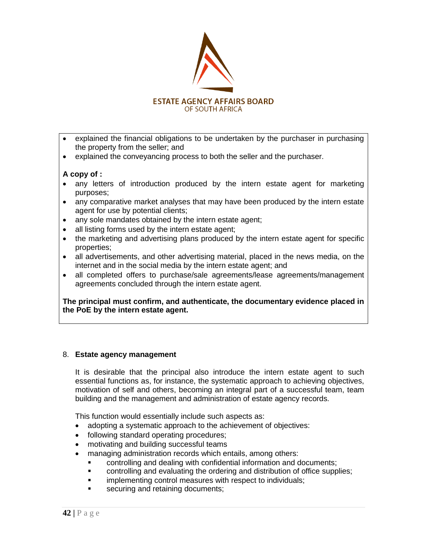

- explained the financial obligations to be undertaken by the purchaser in purchasing the property from the seller; and
- explained the conveyancing process to both the seller and the purchaser.

#### **A copy of :**

- any letters of introduction produced by the intern estate agent for marketing purposes;
- any comparative market analyses that may have been produced by the intern estate agent for use by potential clients;
- any sole mandates obtained by the intern estate agent;
- all listing forms used by the intern estate agent;
- the marketing and advertising plans produced by the intern estate agent for specific properties;
- all advertisements, and other advertising material, placed in the news media, on the internet and in the social media by the intern estate agent; and
- all completed offers to purchase/sale agreements/lease agreements/management agreements concluded through the intern estate agent.

**The principal must confirm, and authenticate, the documentary evidence placed in the PoE by the intern estate agent.** 

#### 8. **Estate agency management**

It is desirable that the principal also introduce the intern estate agent to such essential functions as, for instance, the systematic approach to achieving objectives, motivation of self and others, becoming an integral part of a successful team, team building and the management and administration of estate agency records.

This function would essentially include such aspects as:

- adopting a systematic approach to the achievement of objectives:
- following standard operating procedures;
- motivating and building successful teams
- managing administration records which entails, among others:
	- controlling and dealing with confidential information and documents;
	- controlling and evaluating the ordering and distribution of office supplies;
	- implementing control measures with respect to individuals;
	- securing and retaining documents;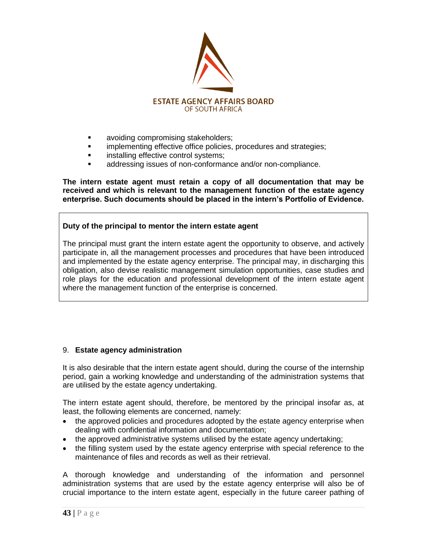

- **avoiding compromising stakeholders;**
- **Indementing effective office policies, procedures and strategies;**
- **installing effective control systems;**
- addressing issues of non-conformance and/or non-compliance.

**The intern estate agent must retain a copy of all documentation that may be received and which is relevant to the management function of the estate agency enterprise. Such documents should be placed in the intern"s Portfolio of Evidence.**

## **Duty of the principal to mentor the intern estate agent**

The principal must grant the intern estate agent the opportunity to observe, and actively participate in, all the management processes and procedures that have been introduced and implemented by the estate agency enterprise. The principal may, in discharging this obligation, also devise realistic management simulation opportunities, case studies and role plays for the education and professional development of the intern estate agent where the management function of the enterprise is concerned.

## 9. **Estate agency administration**

It is also desirable that the intern estate agent should, during the course of the internship period, gain a working knowledge and understanding of the administration systems that are utilised by the estate agency undertaking.

The intern estate agent should, therefore, be mentored by the principal insofar as, at least, the following elements are concerned, namely:

- the approved policies and procedures adopted by the estate agency enterprise when dealing with confidential information and documentation;
- the approved administrative systems utilised by the estate agency undertaking;
- the filling system used by the estate agency enterprise with special reference to the maintenance of files and records as well as their retrieval.

A thorough knowledge and understanding of the information and personnel administration systems that are used by the estate agency enterprise will also be of crucial importance to the intern estate agent, especially in the future career pathing of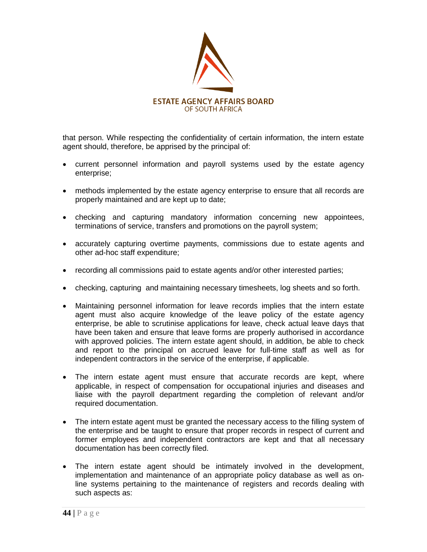

that person. While respecting the confidentiality of certain information, the intern estate agent should, therefore, be apprised by the principal of:

- current personnel information and payroll systems used by the estate agency enterprise;
- methods implemented by the estate agency enterprise to ensure that all records are properly maintained and are kept up to date;
- checking and capturing mandatory information concerning new appointees, terminations of service, transfers and promotions on the payroll system;
- accurately capturing overtime payments, commissions due to estate agents and other ad-hoc staff expenditure;
- recording all commissions paid to estate agents and/or other interested parties;
- checking, capturing and maintaining necessary timesheets, log sheets and so forth.
- Maintaining personnel information for leave records implies that the intern estate agent must also acquire knowledge of the leave policy of the estate agency enterprise, be able to scrutinise applications for leave, check actual leave days that have been taken and ensure that leave forms are properly authorised in accordance with approved policies. The intern estate agent should, in addition, be able to check and report to the principal on accrued leave for full-time staff as well as for independent contractors in the service of the enterprise, if applicable.
- The intern estate agent must ensure that accurate records are kept. where applicable, in respect of compensation for occupational injuries and diseases and liaise with the payroll department regarding the completion of relevant and/or required documentation.
- The intern estate agent must be granted the necessary access to the filling system of the enterprise and be taught to ensure that proper records in respect of current and former employees and independent contractors are kept and that all necessary documentation has been correctly filed.
- The intern estate agent should be intimately involved in the development, implementation and maintenance of an appropriate policy database as well as online systems pertaining to the maintenance of registers and records dealing with such aspects as: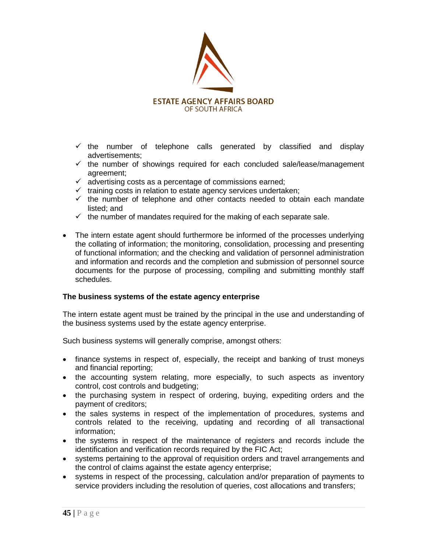

- $\checkmark$  the number of telephone calls generated by classified and display advertisements;
- $\checkmark$  the number of showings required for each concluded sale/lease/management agreement;
- $\checkmark$  advertising costs as a percentage of commissions earned;
- $\checkmark$  training costs in relation to estate agency services undertaken;
- $\checkmark$  the number of telephone and other contacts needed to obtain each mandate listed; and
- $\checkmark$  the number of mandates required for the making of each separate sale.
- The intern estate agent should furthermore be informed of the processes underlying the collating of information; the monitoring, consolidation, processing and presenting of functional information; and the checking and validation of personnel administration and information and records and the completion and submission of personnel source documents for the purpose of processing, compiling and submitting monthly staff schedules.

#### **The business systems of the estate agency enterprise**

The intern estate agent must be trained by the principal in the use and understanding of the business systems used by the estate agency enterprise.

Such business systems will generally comprise, amongst others:

- finance systems in respect of, especially, the receipt and banking of trust moneys and financial reporting;
- the accounting system relating, more especially, to such aspects as inventory control, cost controls and budgeting;
- the purchasing system in respect of ordering, buying, expediting orders and the payment of creditors;
- the sales systems in respect of the implementation of procedures, systems and controls related to the receiving, updating and recording of all transactional information;
- the systems in respect of the maintenance of registers and records include the identification and verification records required by the FIC Act;
- systems pertaining to the approval of requisition orders and travel arrangements and the control of claims against the estate agency enterprise;
- systems in respect of the processing, calculation and/or preparation of payments to service providers including the resolution of queries, cost allocations and transfers;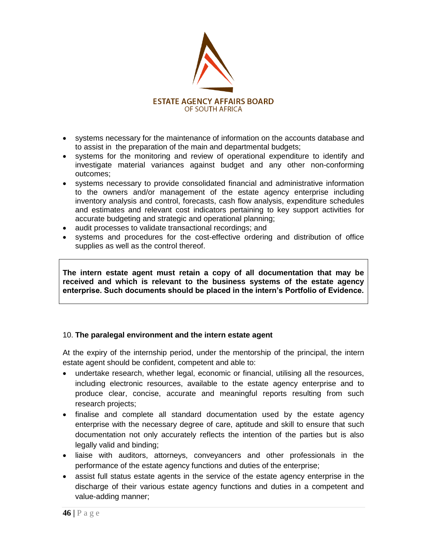

- systems necessary for the maintenance of information on the accounts database and to assist in the preparation of the main and departmental budgets;
- systems for the monitoring and review of operational expenditure to identify and investigate material variances against budget and any other non-conforming outcomes;
- systems necessary to provide consolidated financial and administrative information to the owners and/or management of the estate agency enterprise including inventory analysis and control, forecasts, cash flow analysis, expenditure schedules and estimates and relevant cost indicators pertaining to key support activities for accurate budgeting and strategic and operational planning;
- audit processes to validate transactional recordings; and
- systems and procedures for the cost-effective ordering and distribution of office supplies as well as the control thereof.

**The intern estate agent must retain a copy of all documentation that may be received and which is relevant to the business systems of the estate agency enterprise. Such documents should be placed in the intern"s Portfolio of Evidence.**

## 10. **The paralegal environment and the intern estate agent**

At the expiry of the internship period, under the mentorship of the principal, the intern estate agent should be confident, competent and able to:

- undertake research, whether legal, economic or financial, utilising all the resources, including electronic resources, available to the estate agency enterprise and to produce clear, concise, accurate and meaningful reports resulting from such research projects;
- finalise and complete all standard documentation used by the estate agency enterprise with the necessary degree of care, aptitude and skill to ensure that such documentation not only accurately reflects the intention of the parties but is also legally valid and binding;
- liaise with auditors, attorneys, conveyancers and other professionals in the performance of the estate agency functions and duties of the enterprise;
- assist full status estate agents in the service of the estate agency enterprise in the discharge of their various estate agency functions and duties in a competent and value-adding manner;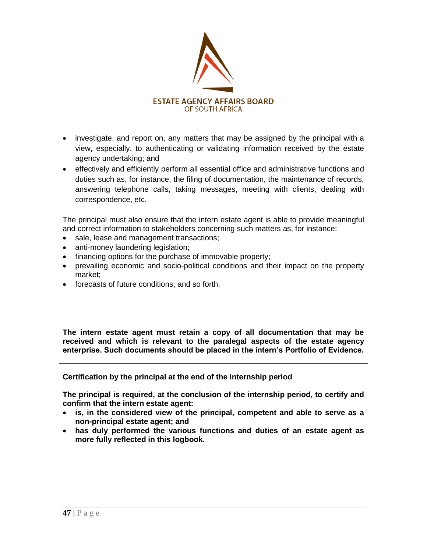

- investigate, and report on, any matters that may be assigned by the principal with a view, especially, to authenticating or validating information received by the estate agency undertaking; and
- effectively and efficiently perform all essential office and administrative functions and duties such as, for instance, the filing of documentation, the maintenance of records, answering telephone calls, taking messages, meeting with clients, dealing with correspondence, etc.

The principal must also ensure that the intern estate agent is able to provide meaningful and correct information to stakeholders concerning such matters as, for instance:

- sale, lease and management transactions;
- anti-money laundering legislation;
- financing options for the purchase of immovable property;
- prevailing economic and socio-political conditions and their impact on the property market;
- forecasts of future conditions; and so forth.

**The intern estate agent must retain a copy of all documentation that may be received and which is relevant to the paralegal aspects of the estate agency enterprise. Such documents should be placed in the intern"s Portfolio of Evidence.**

**Certification by the principal at the end of the internship period**

**The principal is required, at the conclusion of the internship period, to certify and confirm that the intern estate agent:**

- **is, in the considered view of the principal, competent and able to serve as a non-principal estate agent; and**
- **has duly performed the various functions and duties of an estate agent as more fully reflected in this logbook.**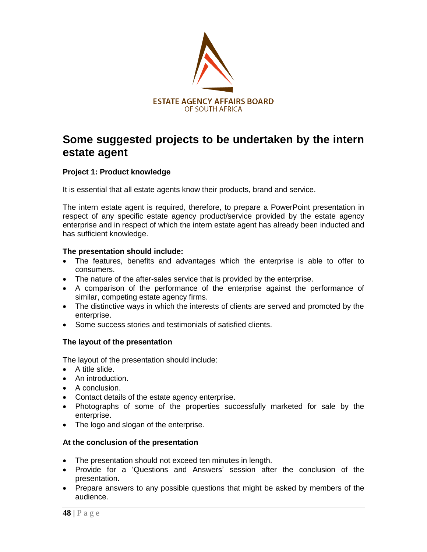

# **Some suggested projects to be undertaken by the intern estate agent**

## **Project 1: Product knowledge**

It is essential that all estate agents know their products, brand and service.

The intern estate agent is required, therefore, to prepare a PowerPoint presentation in respect of any specific estate agency product/service provided by the estate agency enterprise and in respect of which the intern estate agent has already been inducted and has sufficient knowledge.

#### **The presentation should include:**

- The features, benefits and advantages which the enterprise is able to offer to consumers.
- The nature of the after-sales service that is provided by the enterprise.
- A comparison of the performance of the enterprise against the performance of similar, competing estate agency firms.
- The distinctive ways in which the interests of clients are served and promoted by the enterprise.
- Some success stories and testimonials of satisfied clients.

## **The layout of the presentation**

The layout of the presentation should include:

- A title slide.
- An introduction.
- A conclusion.
- Contact details of the estate agency enterprise.
- Photographs of some of the properties successfully marketed for sale by the enterprise.
- The logo and slogan of the enterprise.

#### **At the conclusion of the presentation**

- The presentation should not exceed ten minutes in length.
- Provide for a "Questions and Answers" session after the conclusion of the presentation.
- Prepare answers to any possible questions that might be asked by members of the audience.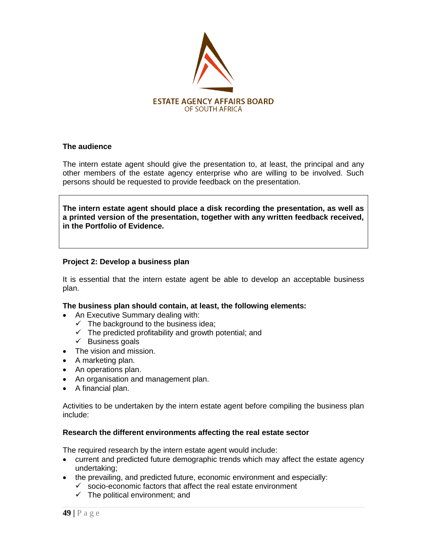

#### **The audience**

The intern estate agent should give the presentation to, at least, the principal and any other members of the estate agency enterprise who are willing to be involved. Such persons should be requested to provide feedback on the presentation.

**The intern estate agent should place a disk recording the presentation, as well as a printed version of the presentation, together with any written feedback received, in the Portfolio of Evidence.** 

#### **Project 2: Develop a business plan**

It is essential that the intern estate agent be able to develop an acceptable business plan.

#### **The business plan should contain, at least, the following elements:**

- An Executive Summary dealing with:
	- $\checkmark$  The background to the business idea;
	- $\checkmark$  The predicted profitability and growth potential; and
	- $\checkmark$  Business goals
- The vision and mission.
- A marketing plan.
- An operations plan.
- An organisation and management plan.
- A financial plan.

Activities to be undertaken by the intern estate agent before compiling the business plan include:

#### **Research the different environments affecting the real estate sector**

The required research by the intern estate agent would include:

- current and predicted future demographic trends which may affect the estate agency undertaking;
- the prevailing, and predicted future, economic environment and especially:
	- $\checkmark$  socio-economic factors that affect the real estate environment
	- $\checkmark$  The political environment; and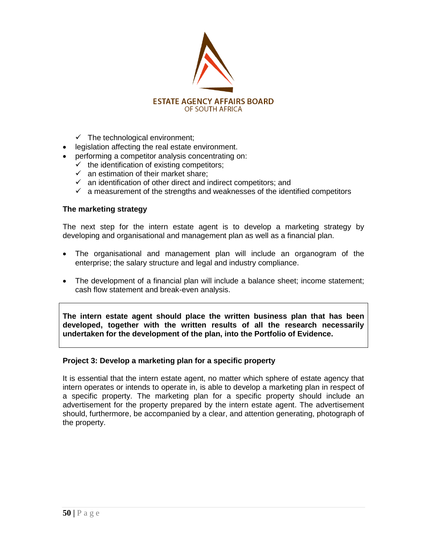

- $\checkmark$  The technological environment;
- legislation affecting the real estate environment.
- performing a competitor analysis concentrating on:
	- $\checkmark$  the identification of existing competitors;
	- $\checkmark$  an estimation of their market share:
	- $\checkmark$  an identification of other direct and indirect competitors; and
	- $\checkmark$  a measurement of the strengths and weaknesses of the identified competitors

#### **The marketing strategy**

The next step for the intern estate agent is to develop a marketing strategy by developing and organisational and management plan as well as a financial plan.

- The organisational and management plan will include an organogram of the enterprise; the salary structure and legal and industry compliance.
- The development of a financial plan will include a balance sheet; income statement; cash flow statement and break-even analysis.

**The intern estate agent should place the written business plan that has been developed, together with the written results of all the research necessarily undertaken for the development of the plan, into the Portfolio of Evidence.** 

#### **Project 3: Develop a marketing plan for a specific property**

It is essential that the intern estate agent, no matter which sphere of estate agency that intern operates or intends to operate in, is able to develop a marketing plan in respect of a specific property. The marketing plan for a specific property should include an advertisement for the property prepared by the intern estate agent. The advertisement should, furthermore, be accompanied by a clear, and attention generating, photograph of the property.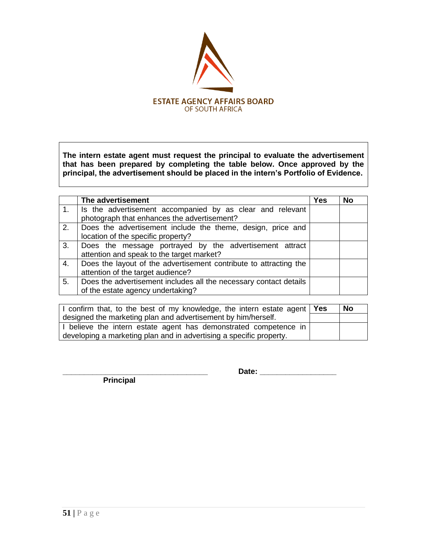

**The intern estate agent must request the principal to evaluate the advertisement that has been prepared by completing the table below. Once approved by the principal, the advertisement should be placed in the intern"s Portfolio of Evidence.**

|    | The advertisement                                                 | <b>Yes</b> | No |
|----|-------------------------------------------------------------------|------------|----|
| 1. | Is the advertisement accompanied by as clear and relevant         |            |    |
|    | photograph that enhances the advertisement?                       |            |    |
| 2. | Does the advertisement include the theme, design, price and       |            |    |
|    | location of the specific property?                                |            |    |
| 3. | Does the message portrayed by the advertisement attract           |            |    |
|    | attention and speak to the target market?                         |            |    |
| 4. | Does the layout of the advertisement contribute to attracting the |            |    |
|    | attention of the target audience?                                 |            |    |
| 5. | Does the advertisement includes all the necessary contact details |            |    |
|    | of the estate agency undertaking?                                 |            |    |

| I confirm that, to the best of my knowledge, the intern estate agent $\sqrt{Y}$ es | No |
|------------------------------------------------------------------------------------|----|
| designed the marketing plan and advertisement by him/herself.                      |    |
| I believe the intern estate agent has demonstrated competence in                   |    |
| developing a marketing plan and in advertising a specific property.                |    |

 **Principal**

**\_\_\_\_\_\_\_\_\_\_\_\_\_\_\_\_\_\_\_\_\_\_\_\_\_\_\_\_\_\_\_\_\_\_ Date: \_\_\_\_\_\_\_\_\_\_\_\_\_\_\_\_\_\_**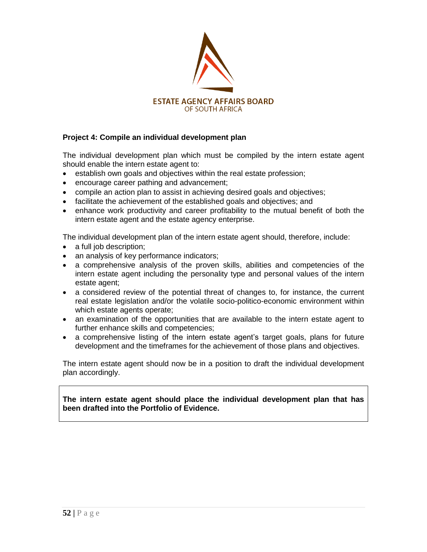

## **Project 4: Compile an individual development plan**

The individual development plan which must be compiled by the intern estate agent should enable the intern estate agent to:

- establish own goals and objectives within the real estate profession;
- encourage career pathing and advancement;
- compile an action plan to assist in achieving desired goals and objectives;
- facilitate the achievement of the established goals and objectives; and
- enhance work productivity and career profitability to the mutual benefit of both the intern estate agent and the estate agency enterprise.

The individual development plan of the intern estate agent should, therefore, include:

- a full job description;
- an analysis of key performance indicators;
- a comprehensive analysis of the proven skills, abilities and competencies of the intern estate agent including the personality type and personal values of the intern estate agent;
- a considered review of the potential threat of changes to, for instance, the current real estate legislation and/or the volatile socio-politico-economic environment within which estate agents operate;
- an examination of the opportunities that are available to the intern estate agent to further enhance skills and competencies;
- a comprehensive listing of the intern estate agent's target goals, plans for future development and the timeframes for the achievement of those plans and objectives.

The intern estate agent should now be in a position to draft the individual development plan accordingly.

**The intern estate agent should place the individual development plan that has been drafted into the Portfolio of Evidence.**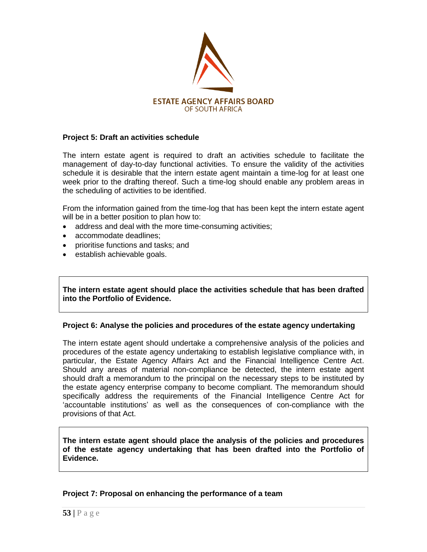

#### **Project 5: Draft an activities schedule**

The intern estate agent is required to draft an activities schedule to facilitate the management of day-to-day functional activities. To ensure the validity of the activities schedule it is desirable that the intern estate agent maintain a time-log for at least one week prior to the drafting thereof. Such a time-log should enable any problem areas in the scheduling of activities to be identified.

From the information gained from the time-log that has been kept the intern estate agent will be in a better position to plan how to:

- address and deal with the more time-consuming activities;
- accommodate deadlines;
- prioritise functions and tasks; and
- establish achievable goals.

**The intern estate agent should place the activities schedule that has been drafted into the Portfolio of Evidence.**

#### **Project 6: Analyse the policies and procedures of the estate agency undertaking**

The intern estate agent should undertake a comprehensive analysis of the policies and procedures of the estate agency undertaking to establish legislative compliance with, in particular, the Estate Agency Affairs Act and the Financial Intelligence Centre Act. Should any areas of material non-compliance be detected, the intern estate agent should draft a memorandum to the principal on the necessary steps to be instituted by the estate agency enterprise company to become compliant. The memorandum should specifically address the requirements of the Financial Intelligence Centre Act for "accountable institutions" as well as the consequences of con-compliance with the provisions of that Act.

**The intern estate agent should place the analysis of the policies and procedures of the estate agency undertaking that has been drafted into the Portfolio of Evidence.**

#### **Project 7: Proposal on enhancing the performance of a team**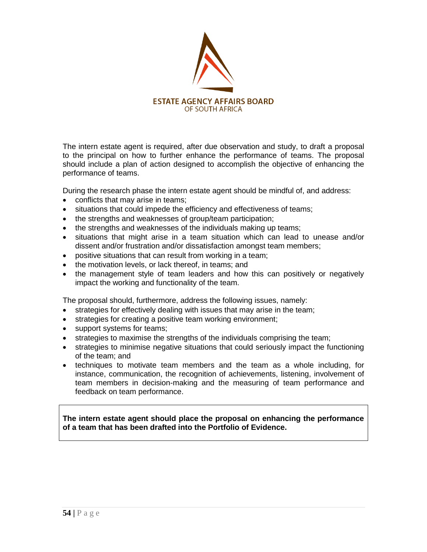

The intern estate agent is required, after due observation and study, to draft a proposal to the principal on how to further enhance the performance of teams. The proposal should include a plan of action designed to accomplish the objective of enhancing the performance of teams.

During the research phase the intern estate agent should be mindful of, and address:

- conflicts that may arise in teams;
- situations that could impede the efficiency and effectiveness of teams;
- the strengths and weaknesses of group/team participation;
- the strengths and weaknesses of the individuals making up teams;
- situations that might arise in a team situation which can lead to unease and/or dissent and/or frustration and/or dissatisfaction amongst team members;
- positive situations that can result from working in a team;
- the motivation levels, or lack thereof, in teams; and
- the management style of team leaders and how this can positively or negatively impact the working and functionality of the team.

The proposal should, furthermore, address the following issues, namely:

- strategies for effectively dealing with issues that may arise in the team;
- strategies for creating a positive team working environment;
- support systems for teams;
- strategies to maximise the strengths of the individuals comprising the team;
- strategies to minimise negative situations that could seriously impact the functioning of the team; and
- techniques to motivate team members and the team as a whole including, for instance, communication, the recognition of achievements, listening, involvement of team members in decision-making and the measuring of team performance and feedback on team performance.

**The intern estate agent should place the proposal on enhancing the performance of a team that has been drafted into the Portfolio of Evidence.**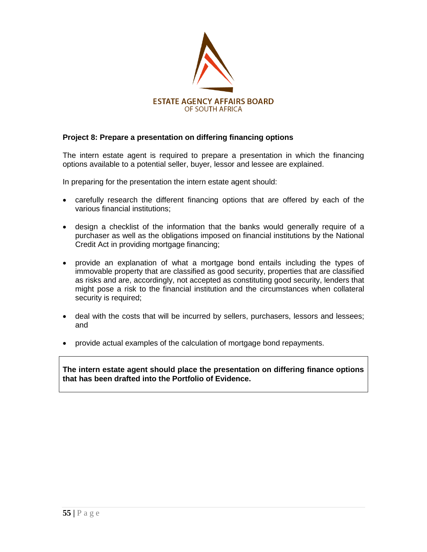

## **Project 8: Prepare a presentation on differing financing options**

The intern estate agent is required to prepare a presentation in which the financing options available to a potential seller, buyer, lessor and lessee are explained.

In preparing for the presentation the intern estate agent should:

- carefully research the different financing options that are offered by each of the various financial institutions;
- design a checklist of the information that the banks would generally require of a purchaser as well as the obligations imposed on financial institutions by the National Credit Act in providing mortgage financing;
- provide an explanation of what a mortgage bond entails including the types of immovable property that are classified as good security, properties that are classified as risks and are, accordingly, not accepted as constituting good security, lenders that might pose a risk to the financial institution and the circumstances when collateral security is required;
- deal with the costs that will be incurred by sellers, purchasers, lessors and lessees; and
- provide actual examples of the calculation of mortgage bond repayments.

**The intern estate agent should place the presentation on differing finance options that has been drafted into the Portfolio of Evidence.**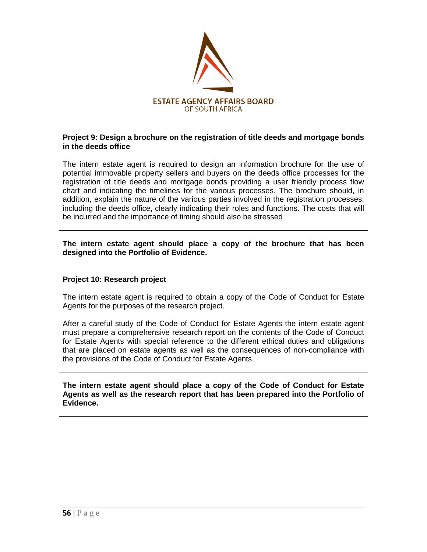

#### **Project 9: Design a brochure on the registration of title deeds and mortgage bonds in the deeds office**

The intern estate agent is required to design an information brochure for the use of potential immovable property sellers and buyers on the deeds office processes for the registration of title deeds and mortgage bonds providing a user friendly process flow chart and indicating the timelines for the various processes. The brochure should, in addition, explain the nature of the various parties involved in the registration processes, including the deeds office, clearly indicating their roles and functions. The costs that will be incurred and the importance of timing should also be stressed

**The intern estate agent should place a copy of the brochure that has been designed into the Portfolio of Evidence.**

#### **Project 10: Research project**

The intern estate agent is required to obtain a copy of the Code of Conduct for Estate Agents for the purposes of the research project.

After a careful study of the Code of Conduct for Estate Agents the intern estate agent must prepare a comprehensive research report on the contents of the Code of Conduct for Estate Agents with special reference to the different ethical duties and obligations that are placed on estate agents as well as the consequences of non-compliance with the provisions of the Code of Conduct for Estate Agents.

**The intern estate agent should place a copy of the Code of Conduct for Estate Agents as well as the research report that has been prepared into the Portfolio of Evidence.**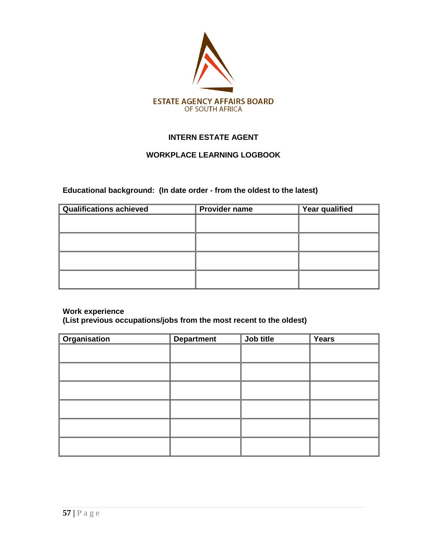

## **INTERN ESTATE AGENT**

## **WORKPLACE LEARNING LOGBOOK**

### **Educational background: (In date order - from the oldest to the latest)**

| Qualifications achieved | <b>Provider name</b> | Year qualified |
|-------------------------|----------------------|----------------|
|                         |                      |                |
|                         |                      |                |
|                         |                      |                |
|                         |                      |                |
|                         |                      |                |
|                         |                      |                |
|                         |                      |                |
|                         |                      |                |

#### **Work experience**

**(List previous occupations/jobs from the most recent to the oldest)**

| Organisation | <b>Department</b> | Job title | <b>Years</b> |
|--------------|-------------------|-----------|--------------|
|              |                   |           |              |
|              |                   |           |              |
|              |                   |           |              |
|              |                   |           |              |
|              |                   |           |              |
|              |                   |           |              |
|              |                   |           |              |
|              |                   |           |              |
|              |                   |           |              |
|              |                   |           |              |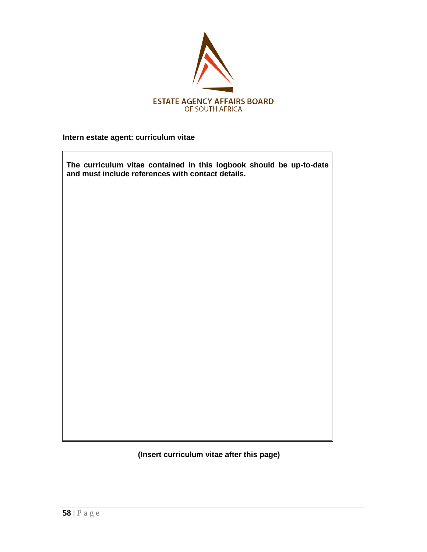

**Intern estate agent: curriculum vitae** 

| The curriculum vitae contained in this logbook should be up-to-date<br>and must include references with contact details. |
|--------------------------------------------------------------------------------------------------------------------------|
|                                                                                                                          |
|                                                                                                                          |
|                                                                                                                          |
|                                                                                                                          |
|                                                                                                                          |
|                                                                                                                          |
|                                                                                                                          |

**(Insert curriculum vitae after this page)**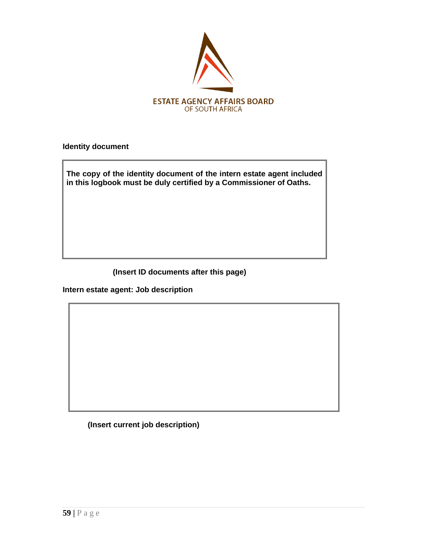

**Identity document** 

**The copy of the identity document of the intern estate agent included in this logbook must be duly certified by a Commissioner of Oaths.**

**(Insert ID documents after this page)**

**Intern estate agent: Job description** 

**(Insert current job description)**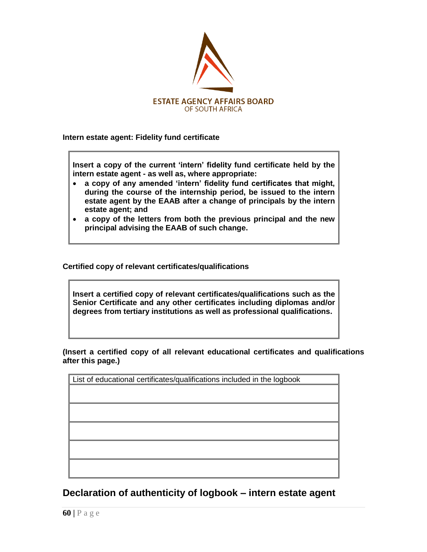

**Intern estate agent: Fidelity fund certificate** 

**Insert a copy of the current "intern" fidelity fund certificate held by the intern estate agent - as well as, where appropriate:** 

- **a copy of any amended "intern" fidelity fund certificates that might, during the course of the internship period, be issued to the intern estate agent by the EAAB after a change of principals by the intern estate agent; and**
- **a copy of the letters from both the previous principal and the new principal advising the EAAB of such change.**

**Certified copy of relevant certificates/qualifications**

**Insert a certified copy of relevant certificates/qualifications such as the Senior Certificate and any other certificates including diplomas and/or degrees from tertiary institutions as well as professional qualifications.**

**(Insert a certified copy of all relevant educational certificates and qualifications after this page.)**

| List of educational certificates/qualifications included in the logbook |  |
|-------------------------------------------------------------------------|--|
|                                                                         |  |
|                                                                         |  |
|                                                                         |  |
|                                                                         |  |
|                                                                         |  |

**Declaration of authenticity of logbook – intern estate agent**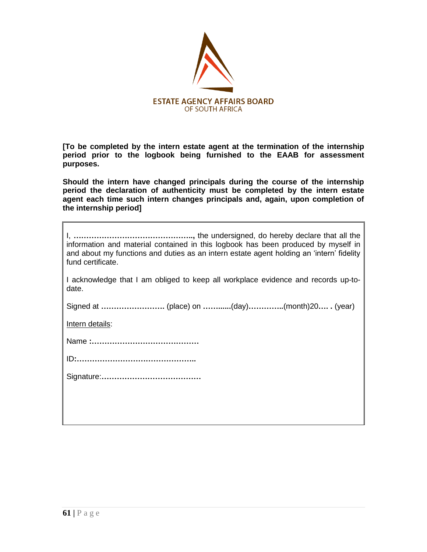

**[To be completed by the intern estate agent at the termination of the internship period prior to the logbook being furnished to the EAAB for assessment purposes.** 

**Should the intern have changed principals during the course of the internship period the declaration of authenticity must be completed by the intern estate agent each time such intern changes principals and, again, upon completion of the internship period]**

| information and material contained in this logbook has been produced by myself in<br>and about my functions and duties as an intern estate agent holding an 'intern' fidelity<br>fund certificate. |
|----------------------------------------------------------------------------------------------------------------------------------------------------------------------------------------------------|
| I acknowledge that I am obliged to keep all workplace evidence and records up-to-<br>date.                                                                                                         |
|                                                                                                                                                                                                    |
| Intern details:                                                                                                                                                                                    |
|                                                                                                                                                                                                    |
|                                                                                                                                                                                                    |
|                                                                                                                                                                                                    |
|                                                                                                                                                                                                    |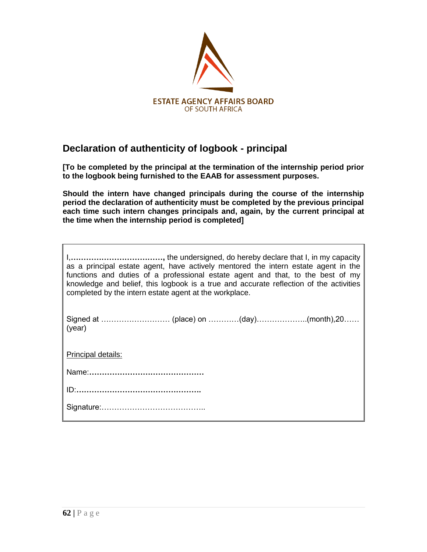

## **Declaration of authenticity of logbook - principal**

**[To be completed by the principal at the termination of the internship period prior to the logbook being furnished to the EAAB for assessment purposes.** 

**Should the intern have changed principals during the course of the internship period the declaration of authenticity must be completed by the previous principal each time such intern changes principals and, again, by the current principal at the time when the internship period is completed]**

| as a principal estate agent, have actively mentored the intern estate agent in the<br>functions and duties of a professional estate agent and that, to the best of my<br>knowledge and belief, this logbook is a true and accurate reflection of the activities<br>completed by the intern estate agent at the workplace. |  |  |
|---------------------------------------------------------------------------------------------------------------------------------------------------------------------------------------------------------------------------------------------------------------------------------------------------------------------------|--|--|
| (year)                                                                                                                                                                                                                                                                                                                    |  |  |
| Principal details:                                                                                                                                                                                                                                                                                                        |  |  |
|                                                                                                                                                                                                                                                                                                                           |  |  |
|                                                                                                                                                                                                                                                                                                                           |  |  |
|                                                                                                                                                                                                                                                                                                                           |  |  |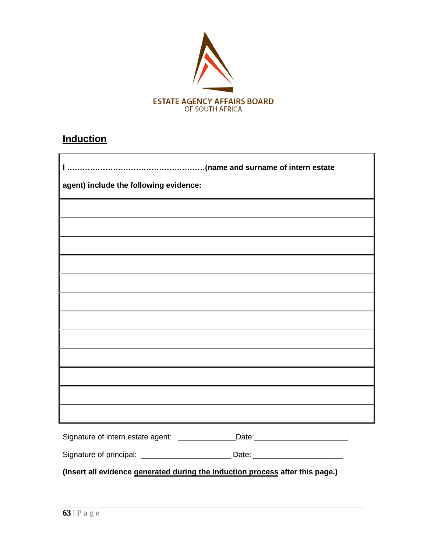

# **Induction**

| agent) include the following evidence: |                                                                                                                  |  |
|----------------------------------------|------------------------------------------------------------------------------------------------------------------|--|
|                                        |                                                                                                                  |  |
|                                        |                                                                                                                  |  |
|                                        |                                                                                                                  |  |
|                                        |                                                                                                                  |  |
|                                        |                                                                                                                  |  |
|                                        |                                                                                                                  |  |
|                                        | and the control of the control of the control of the control of the control of the control of the control of the |  |
|                                        |                                                                                                                  |  |
|                                        |                                                                                                                  |  |
|                                        |                                                                                                                  |  |
|                                        |                                                                                                                  |  |
|                                        |                                                                                                                  |  |
|                                        | Signature of intern estate agent: _______________Date: ________________________.                                 |  |
|                                        |                                                                                                                  |  |

**(Insert all evidence generated during the induction process after this page.)**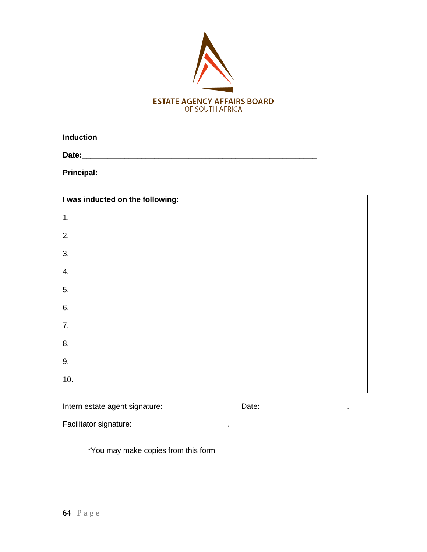

**Induction**

**Date:\_\_\_\_\_\_\_\_\_\_\_\_\_\_\_\_\_\_\_\_\_\_\_\_\_\_\_\_\_\_\_\_\_\_\_\_\_\_\_\_\_\_\_\_\_\_\_\_\_\_\_\_\_\_\_**

**Principal: \_\_\_\_\_\_\_\_\_\_\_\_\_\_\_\_\_\_\_\_\_\_\_\_\_\_\_\_\_\_\_\_\_\_\_\_\_\_\_\_\_\_\_\_\_\_**

| I was inducted on the following: |  |  |
|----------------------------------|--|--|
| 1.                               |  |  |
| 2.                               |  |  |
| $\overline{3}$ .                 |  |  |
| 4.                               |  |  |
| 5.                               |  |  |
| 6.                               |  |  |
| 7.                               |  |  |
| 8.                               |  |  |
| 9.                               |  |  |
| 10.                              |  |  |

Intern estate agent signature: \_\_\_\_\_\_\_\_\_\_\_\_\_\_\_\_\_\_\_Date: \_\_\_\_\_\_\_\_\_\_\_\_\_\_\_\_\_\_\_\_\_\_\_\_

Facilitator signature: \_\_\_\_\_\_\_\_\_\_\_\_\_\_\_\_\_\_\_\_\_\_\_\_\_\_.

\*You may make copies from this form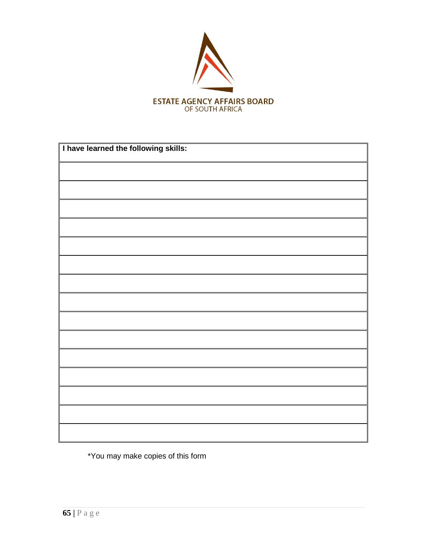

| I have learned the following skills: |  |  |
|--------------------------------------|--|--|
|                                      |  |  |
|                                      |  |  |
|                                      |  |  |
|                                      |  |  |
|                                      |  |  |
|                                      |  |  |
|                                      |  |  |
|                                      |  |  |
|                                      |  |  |
|                                      |  |  |
|                                      |  |  |
|                                      |  |  |
|                                      |  |  |
|                                      |  |  |
|                                      |  |  |

\*You may make copies of this form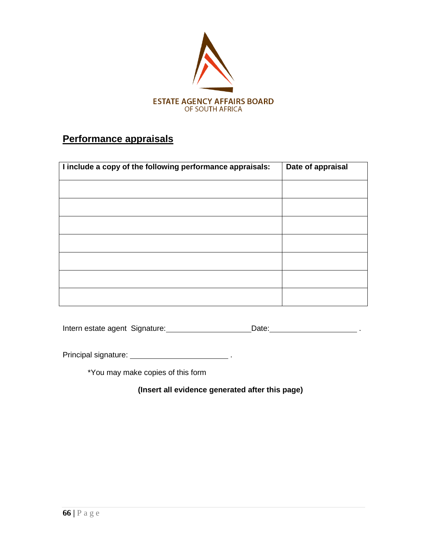

## **Performance appraisals**

| I include a copy of the following performance appraisals: | Date of appraisal |
|-----------------------------------------------------------|-------------------|
|                                                           |                   |
|                                                           |                   |
|                                                           |                   |
|                                                           |                   |
|                                                           |                   |
|                                                           |                   |
|                                                           |                   |

| Intern estate agent Signature: | Date: |  |
|--------------------------------|-------|--|
|                                |       |  |
|                                |       |  |

Principal signature: .

\*You may make copies of this form

**(Insert all evidence generated after this page)**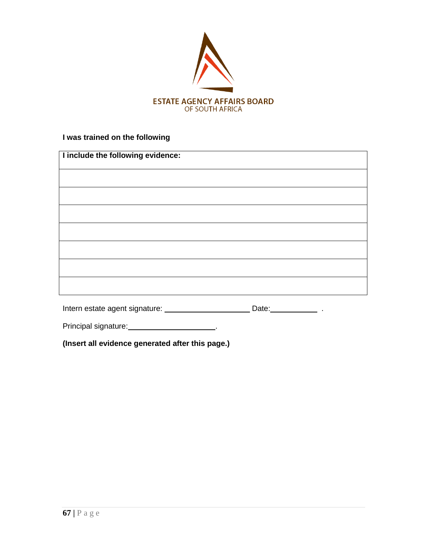

## **I was trained on the following**

| I include the following evidence: |  |
|-----------------------------------|--|
|                                   |  |
|                                   |  |
|                                   |  |
|                                   |  |
|                                   |  |
|                                   |  |
|                                   |  |
|                                   |  |

| Intern estate agent signature: | Date: |  |
|--------------------------------|-------|--|
|                                |       |  |

Principal signature: .

**(Insert all evidence generated after this page.)**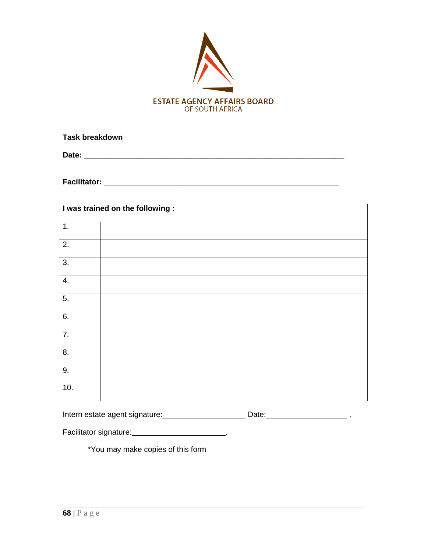

**Task breakdown** 

**Date: \_\_\_\_\_\_\_\_\_\_\_\_\_\_\_\_\_\_\_\_\_\_\_\_\_\_\_\_\_\_\_\_\_\_\_\_\_\_\_\_\_\_\_\_\_\_\_\_\_\_\_\_\_\_\_\_\_\_\_\_\_**

**Facilitator: \_\_\_\_\_\_\_\_\_\_\_\_\_\_\_\_\_\_\_\_\_\_\_\_\_\_\_\_\_\_\_\_\_\_\_\_\_\_\_\_\_\_\_\_\_\_\_\_\_\_\_\_\_\_\_**

|                  | I was trained on the following: |
|------------------|---------------------------------|
| 1.               |                                 |
| 2.               |                                 |
| $\overline{3}$ . |                                 |
| 4.               |                                 |
| 5.               |                                 |
| 6.               |                                 |
| $\overline{7}$ . |                                 |
| 8.               |                                 |
| 9.               |                                 |
| 10.              |                                 |

| Intern estate agent signature: | Date: |
|--------------------------------|-------|
|--------------------------------|-------|

Facilitator signature: \_\_\_\_\_\_\_\_\_\_\_\_\_\_\_\_\_\_\_\_\_\_\_\_\_\_.

\*You may make copies of this form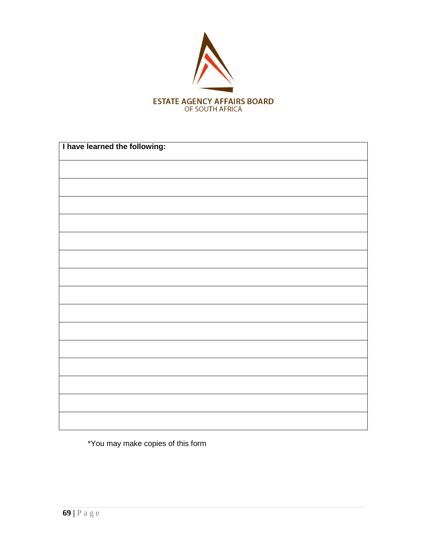

| I have learned the following: |  |
|-------------------------------|--|
|                               |  |
|                               |  |
|                               |  |
|                               |  |
|                               |  |
|                               |  |
|                               |  |
|                               |  |
|                               |  |
|                               |  |
|                               |  |
|                               |  |
|                               |  |
|                               |  |
|                               |  |

\*You may make copies of this form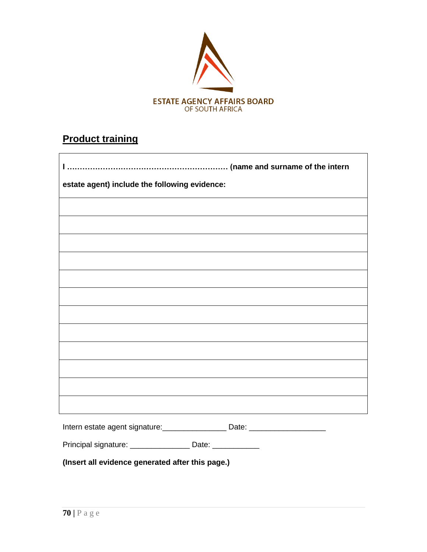

# **Product training**

| estate agent) include the following evidence:                                    |  |  |  |
|----------------------------------------------------------------------------------|--|--|--|
|                                                                                  |  |  |  |
|                                                                                  |  |  |  |
|                                                                                  |  |  |  |
|                                                                                  |  |  |  |
|                                                                                  |  |  |  |
|                                                                                  |  |  |  |
|                                                                                  |  |  |  |
|                                                                                  |  |  |  |
|                                                                                  |  |  |  |
|                                                                                  |  |  |  |
|                                                                                  |  |  |  |
| Intern estate agent signature: ____________________ Date: ______________________ |  |  |  |
| Principal signature: __________________ Date: ____________                       |  |  |  |

**(Insert all evidence generated after this page.)**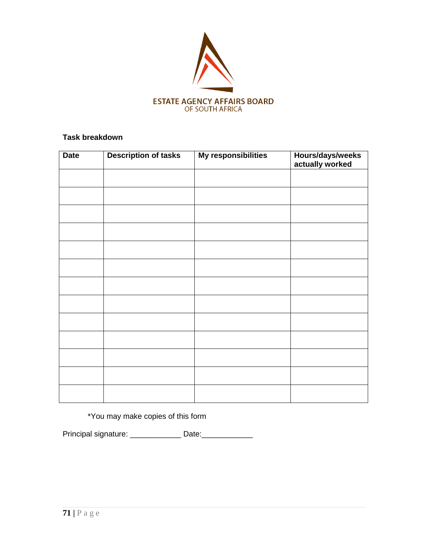

## **Task breakdown**

| <b>Date</b> | <b>Description of tasks</b> | My responsibilities | Hours/days/weeks<br>actually worked |
|-------------|-----------------------------|---------------------|-------------------------------------|
|             |                             |                     |                                     |
|             |                             |                     |                                     |
|             |                             |                     |                                     |
|             |                             |                     |                                     |
|             |                             |                     |                                     |
|             |                             |                     |                                     |
|             |                             |                     |                                     |
|             |                             |                     |                                     |
|             |                             |                     |                                     |
|             |                             |                     |                                     |
|             |                             |                     |                                     |
|             |                             |                     |                                     |
|             |                             |                     |                                     |

\*You may make copies of this form

Principal signature: \_\_\_\_\_\_\_\_\_\_\_\_\_\_ Date: \_\_\_\_\_\_\_\_\_\_\_\_\_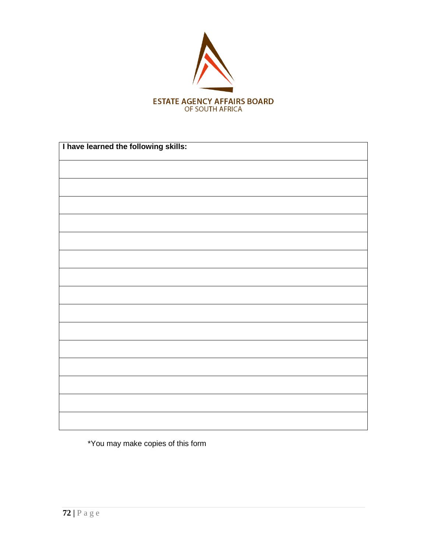

| I have learned the following skills: |  |  |
|--------------------------------------|--|--|
|                                      |  |  |
|                                      |  |  |
|                                      |  |  |
|                                      |  |  |
|                                      |  |  |
|                                      |  |  |
|                                      |  |  |
|                                      |  |  |
|                                      |  |  |
|                                      |  |  |
|                                      |  |  |
|                                      |  |  |
|                                      |  |  |
|                                      |  |  |
|                                      |  |  |

\*You may make copies of this form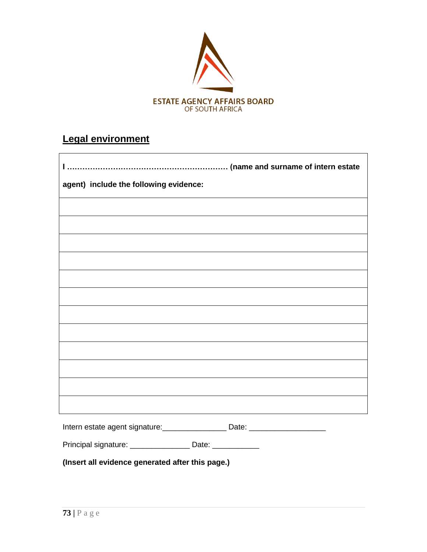

# **Legal environment**

| agent) include the following evidence:                                           |
|----------------------------------------------------------------------------------|
|                                                                                  |
|                                                                                  |
|                                                                                  |
|                                                                                  |
|                                                                                  |
|                                                                                  |
|                                                                                  |
|                                                                                  |
|                                                                                  |
|                                                                                  |
|                                                                                  |
|                                                                                  |
| Intern estate agent signature: ___________________ Date: _______________________ |
| Principal signature: _______________________ Date: ______________                |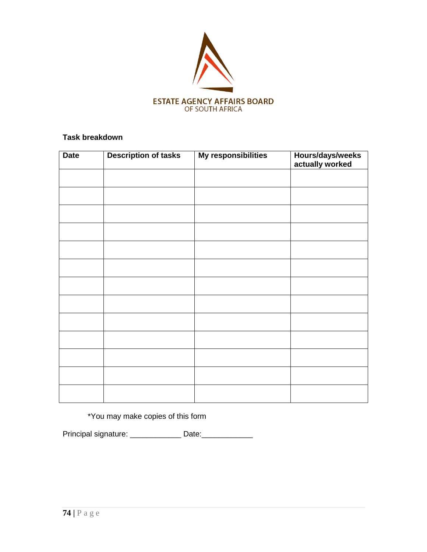

| <b>Date</b> | <b>Description of tasks</b> | My responsibilities | Hours/days/weeks<br>actually worked |
|-------------|-----------------------------|---------------------|-------------------------------------|
|             |                             |                     |                                     |
|             |                             |                     |                                     |
|             |                             |                     |                                     |
|             |                             |                     |                                     |
|             |                             |                     |                                     |
|             |                             |                     |                                     |
|             |                             |                     |                                     |
|             |                             |                     |                                     |
|             |                             |                     |                                     |
|             |                             |                     |                                     |
|             |                             |                     |                                     |
|             |                             |                     |                                     |
|             |                             |                     |                                     |

\*You may make copies of this form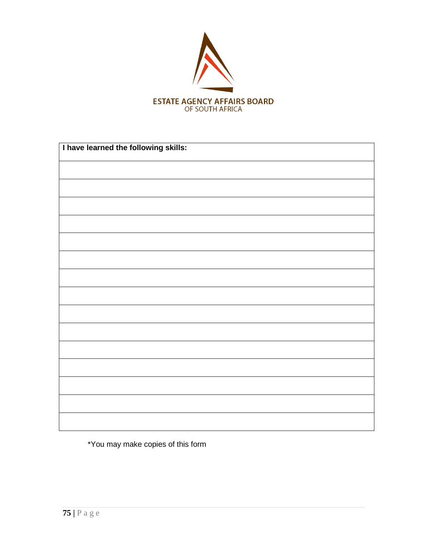

| I have learned the following skills: |  |
|--------------------------------------|--|
|                                      |  |
|                                      |  |
|                                      |  |
|                                      |  |
|                                      |  |
|                                      |  |
|                                      |  |
|                                      |  |
|                                      |  |
|                                      |  |
|                                      |  |
|                                      |  |
|                                      |  |
|                                      |  |
|                                      |  |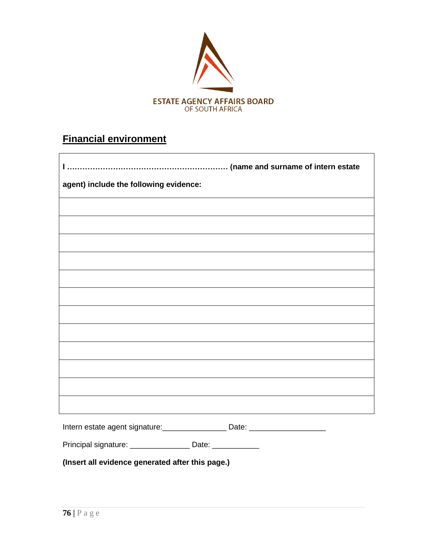

# **Financial environment**

| agent) include the following evidence:                                           |
|----------------------------------------------------------------------------------|
|                                                                                  |
|                                                                                  |
|                                                                                  |
|                                                                                  |
|                                                                                  |
|                                                                                  |
|                                                                                  |
|                                                                                  |
|                                                                                  |
|                                                                                  |
|                                                                                  |
| <u> 1989 - Johann Barn, amerikansk politiker (d. 1989)</u>                       |
| Intern estate agent signature: ___________________ Date: _______________________ |
| Principal signature: __________________ Date: ____________                       |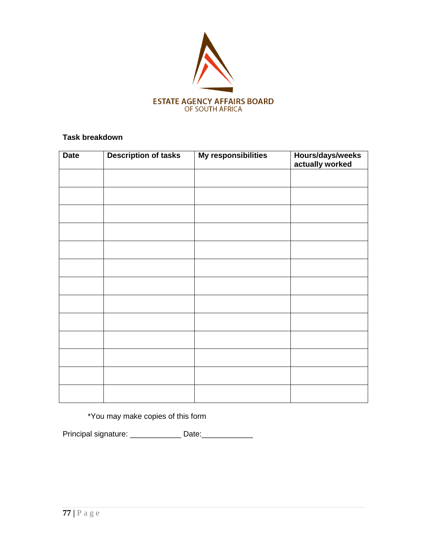

| <b>Date</b> | <b>Description of tasks</b> | My responsibilities | Hours/days/weeks<br>actually worked |
|-------------|-----------------------------|---------------------|-------------------------------------|
|             |                             |                     |                                     |
|             |                             |                     |                                     |
|             |                             |                     |                                     |
|             |                             |                     |                                     |
|             |                             |                     |                                     |
|             |                             |                     |                                     |
|             |                             |                     |                                     |
|             |                             |                     |                                     |
|             |                             |                     |                                     |
|             |                             |                     |                                     |
|             |                             |                     |                                     |
|             |                             |                     |                                     |
|             |                             |                     |                                     |

\*You may make copies of this form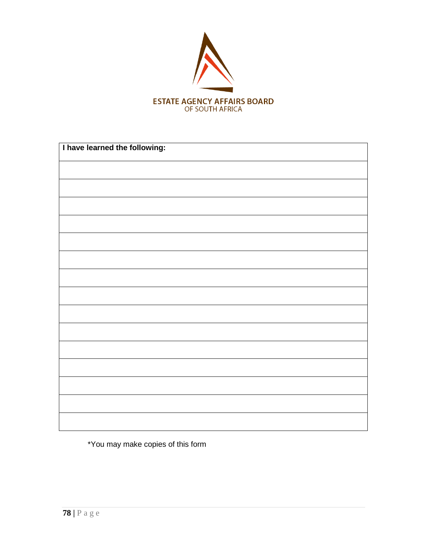

| I have learned the following: |  |
|-------------------------------|--|
|                               |  |
|                               |  |
|                               |  |
|                               |  |
|                               |  |
|                               |  |
|                               |  |
|                               |  |
|                               |  |
|                               |  |
|                               |  |
|                               |  |
|                               |  |
|                               |  |
|                               |  |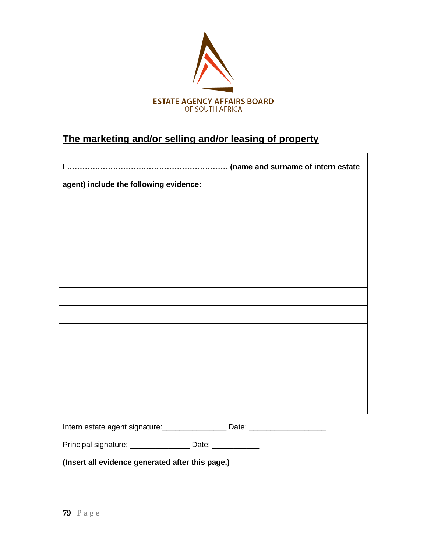

# **The marketing and/or selling and/or leasing of property**

| agent) include the following evidence:                                           |
|----------------------------------------------------------------------------------|
|                                                                                  |
|                                                                                  |
|                                                                                  |
|                                                                                  |
|                                                                                  |
|                                                                                  |
|                                                                                  |
|                                                                                  |
|                                                                                  |
|                                                                                  |
|                                                                                  |
|                                                                                  |
| Intern estate agent signature: ____________________ Date: ______________________ |
| Principal signature: ________________________ Date: _______________              |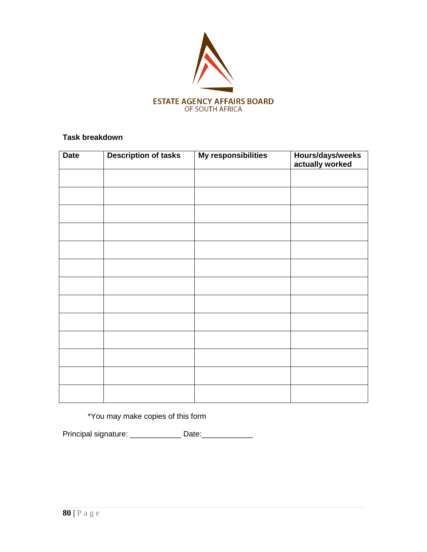

| <b>Date</b> | <b>Description of tasks</b> | My responsibilities | Hours/days/weeks<br>actually worked |
|-------------|-----------------------------|---------------------|-------------------------------------|
|             |                             |                     |                                     |
|             |                             |                     |                                     |
|             |                             |                     |                                     |
|             |                             |                     |                                     |
|             |                             |                     |                                     |
|             |                             |                     |                                     |
|             |                             |                     |                                     |
|             |                             |                     |                                     |
|             |                             |                     |                                     |
|             |                             |                     |                                     |
|             |                             |                     |                                     |
|             |                             |                     |                                     |
|             |                             |                     |                                     |

\*You may make copies of this form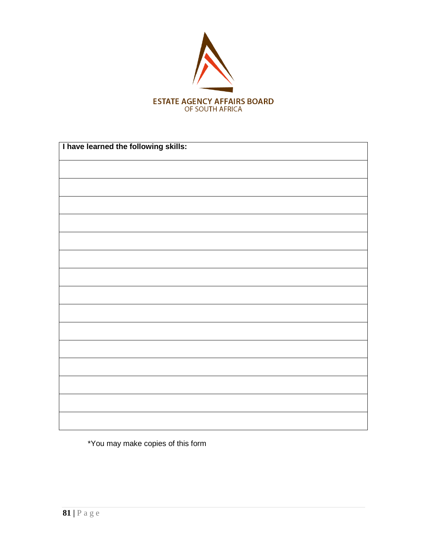

| I have learned the following skills: |  |  |
|--------------------------------------|--|--|
|                                      |  |  |
|                                      |  |  |
|                                      |  |  |
|                                      |  |  |
|                                      |  |  |
|                                      |  |  |
|                                      |  |  |
|                                      |  |  |
|                                      |  |  |
|                                      |  |  |
|                                      |  |  |
|                                      |  |  |
|                                      |  |  |
|                                      |  |  |
|                                      |  |  |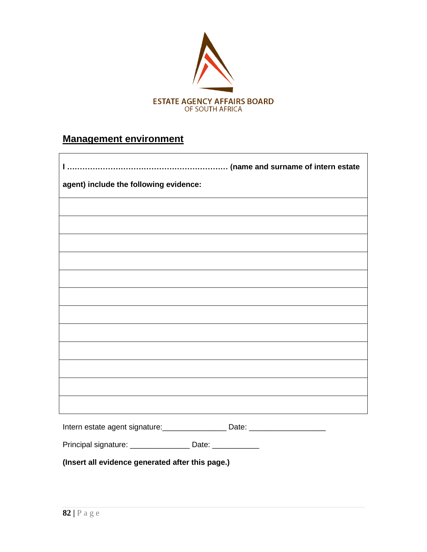

## **Management environment**

| agent) include the following evidence: |                                                                                  |
|----------------------------------------|----------------------------------------------------------------------------------|
|                                        |                                                                                  |
|                                        |                                                                                  |
|                                        |                                                                                  |
|                                        |                                                                                  |
|                                        |                                                                                  |
|                                        |                                                                                  |
|                                        |                                                                                  |
|                                        |                                                                                  |
|                                        |                                                                                  |
|                                        |                                                                                  |
|                                        |                                                                                  |
|                                        |                                                                                  |
|                                        | Intern estate agent signature: ___________________Date: ________________________ |
| Principal signature: _________________ | Date: _____________                                                              |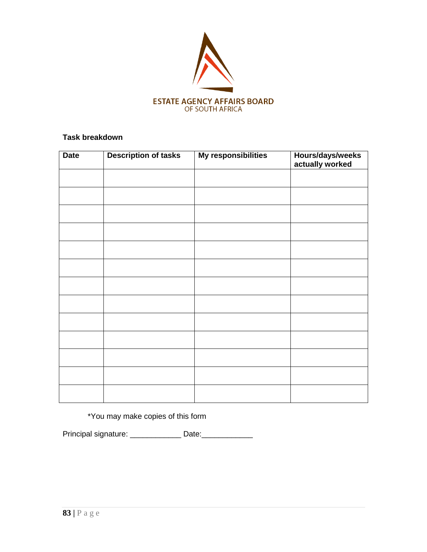

| <b>Date</b> | <b>Description of tasks</b> | My responsibilities | Hours/days/weeks<br>actually worked |
|-------------|-----------------------------|---------------------|-------------------------------------|
|             |                             |                     |                                     |
|             |                             |                     |                                     |
|             |                             |                     |                                     |
|             |                             |                     |                                     |
|             |                             |                     |                                     |
|             |                             |                     |                                     |
|             |                             |                     |                                     |
|             |                             |                     |                                     |
|             |                             |                     |                                     |
|             |                             |                     |                                     |
|             |                             |                     |                                     |
|             |                             |                     |                                     |
|             |                             |                     |                                     |

\*You may make copies of this form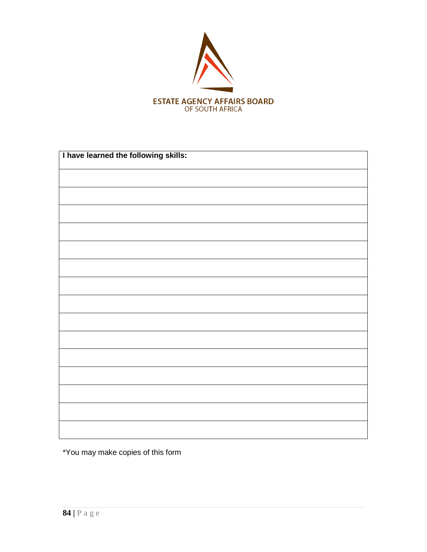

| I have learned the following skills: |
|--------------------------------------|
|                                      |
|                                      |
|                                      |
|                                      |
|                                      |
|                                      |
|                                      |
|                                      |
|                                      |
|                                      |
|                                      |
|                                      |
|                                      |
|                                      |
|                                      |
|                                      |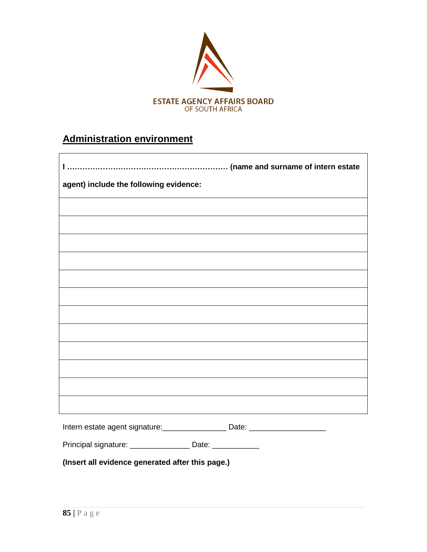

# **Administration environment**

| agent) include the following evidence:                                           |
|----------------------------------------------------------------------------------|
|                                                                                  |
|                                                                                  |
|                                                                                  |
|                                                                                  |
|                                                                                  |
|                                                                                  |
|                                                                                  |
|                                                                                  |
|                                                                                  |
|                                                                                  |
|                                                                                  |
|                                                                                  |
| Intern estate agent signature: ____________________ Date: ______________________ |
| Principal signature: __________________ Date: ____________                       |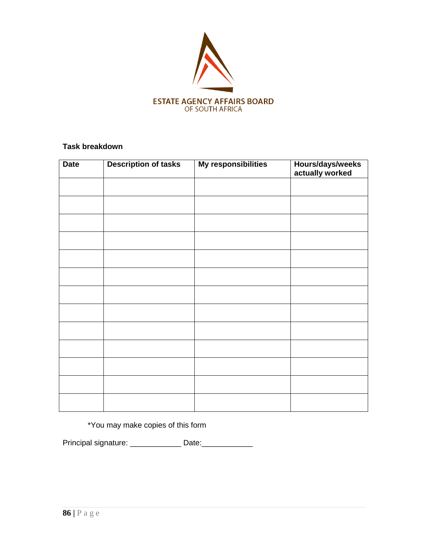

| <b>Date</b> | <b>Description of tasks</b> | My responsibilities | Hours/days/weeks<br>actually worked |
|-------------|-----------------------------|---------------------|-------------------------------------|
|             |                             |                     |                                     |
|             |                             |                     |                                     |
|             |                             |                     |                                     |
|             |                             |                     |                                     |
|             |                             |                     |                                     |
|             |                             |                     |                                     |
|             |                             |                     |                                     |
|             |                             |                     |                                     |
|             |                             |                     |                                     |
|             |                             |                     |                                     |
|             |                             |                     |                                     |
|             |                             |                     |                                     |
|             |                             |                     |                                     |

\*You may make copies of this form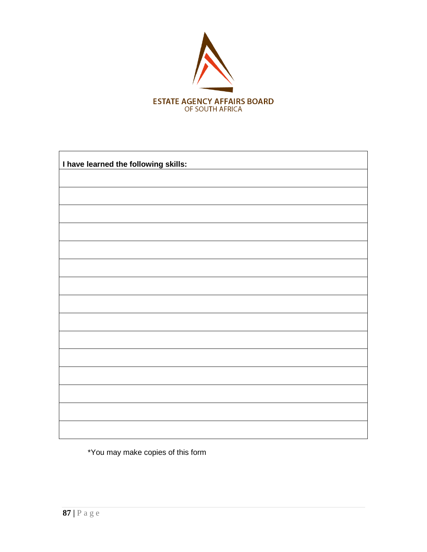

| I have learned the following skills: |
|--------------------------------------|
|                                      |
|                                      |
|                                      |
|                                      |
|                                      |
|                                      |
|                                      |
|                                      |
|                                      |
|                                      |
|                                      |
|                                      |
|                                      |
|                                      |
|                                      |
|                                      |
|                                      |
|                                      |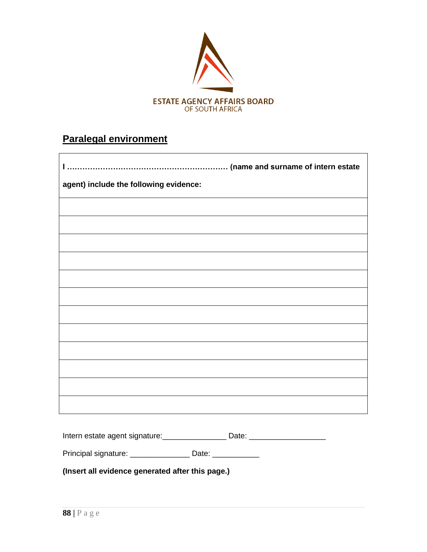

## **Paralegal environment**

| $\mathbf{I}$                           |
|----------------------------------------|
| agent) include the following evidence: |
|                                        |
|                                        |
|                                        |
|                                        |
|                                        |
|                                        |
|                                        |
|                                        |
|                                        |
|                                        |
|                                        |
|                                        |

Intern estate agent signature: \_\_\_\_\_\_\_\_\_\_\_\_\_\_\_\_\_\_ Date: \_\_\_\_\_\_\_\_\_\_\_\_\_\_\_\_\_\_\_\_\_\_\_\_

Principal signature: \_\_\_\_\_\_\_\_\_\_\_\_\_\_\_\_ Date: \_\_\_\_\_\_\_\_\_\_\_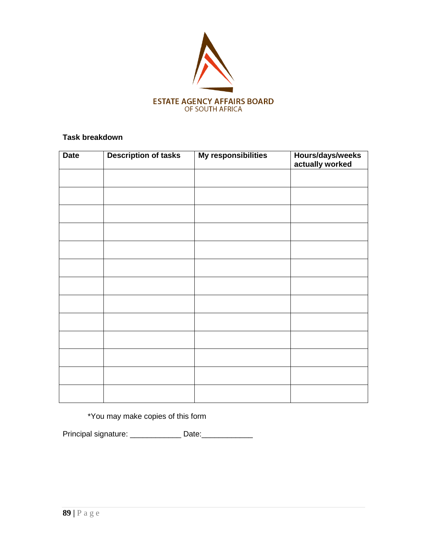

| <b>Date</b> | <b>Description of tasks</b> | My responsibilities | Hours/days/weeks<br>actually worked |
|-------------|-----------------------------|---------------------|-------------------------------------|
|             |                             |                     |                                     |
|             |                             |                     |                                     |
|             |                             |                     |                                     |
|             |                             |                     |                                     |
|             |                             |                     |                                     |
|             |                             |                     |                                     |
|             |                             |                     |                                     |
|             |                             |                     |                                     |
|             |                             |                     |                                     |
|             |                             |                     |                                     |
|             |                             |                     |                                     |
|             |                             |                     |                                     |
|             |                             |                     |                                     |

\*You may make copies of this form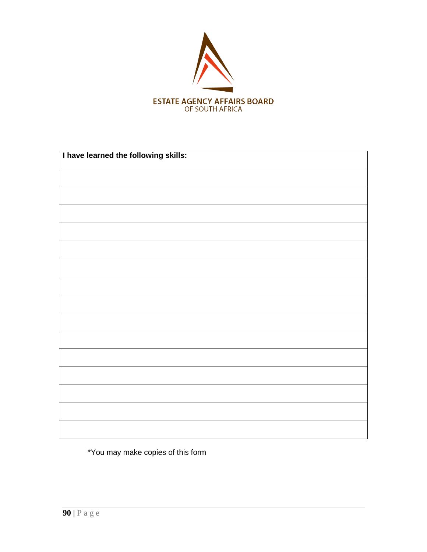

| I have learned the following skills: |
|--------------------------------------|
|                                      |
|                                      |
|                                      |
|                                      |
|                                      |
|                                      |
|                                      |
|                                      |
|                                      |
|                                      |
|                                      |
|                                      |
|                                      |
|                                      |
|                                      |
|                                      |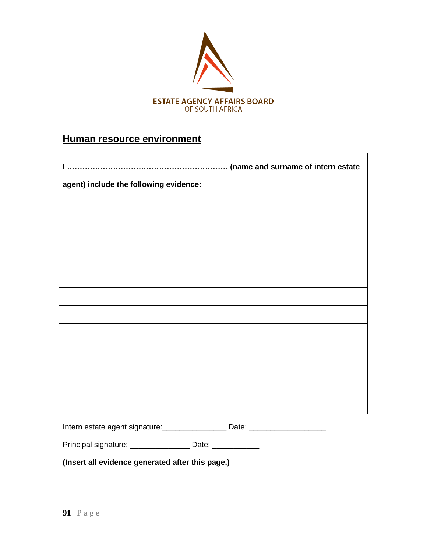

## **Human resource environment**

| agent) include the following evidence:                                           |  |
|----------------------------------------------------------------------------------|--|
|                                                                                  |  |
|                                                                                  |  |
|                                                                                  |  |
|                                                                                  |  |
|                                                                                  |  |
|                                                                                  |  |
|                                                                                  |  |
|                                                                                  |  |
|                                                                                  |  |
|                                                                                  |  |
|                                                                                  |  |
|                                                                                  |  |
| Intern estate agent signature: ____________________ Date: ______________________ |  |
| Principal signature: ___________________ Date: ____________                      |  |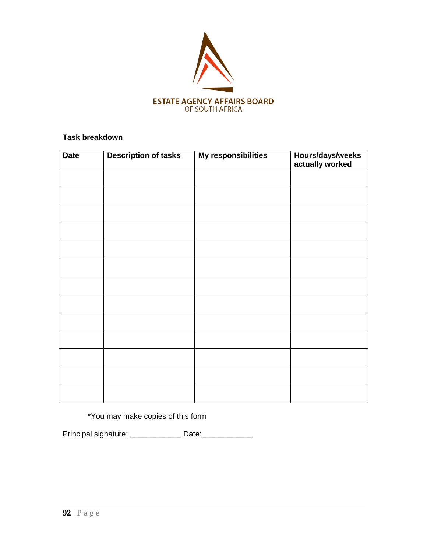

| <b>Date</b> | <b>Description of tasks</b> | My responsibilities | Hours/days/weeks<br>actually worked |
|-------------|-----------------------------|---------------------|-------------------------------------|
|             |                             |                     |                                     |
|             |                             |                     |                                     |
|             |                             |                     |                                     |
|             |                             |                     |                                     |
|             |                             |                     |                                     |
|             |                             |                     |                                     |
|             |                             |                     |                                     |
|             |                             |                     |                                     |
|             |                             |                     |                                     |
|             |                             |                     |                                     |
|             |                             |                     |                                     |
|             |                             |                     |                                     |
|             |                             |                     |                                     |

\*You may make copies of this form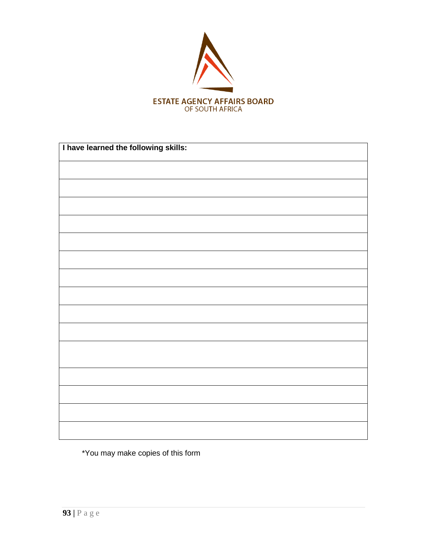

| I have learned the following skills: |  |  |
|--------------------------------------|--|--|
|                                      |  |  |
|                                      |  |  |
|                                      |  |  |
|                                      |  |  |
|                                      |  |  |
|                                      |  |  |
|                                      |  |  |
|                                      |  |  |
|                                      |  |  |
|                                      |  |  |
|                                      |  |  |
|                                      |  |  |
|                                      |  |  |
|                                      |  |  |
|                                      |  |  |
|                                      |  |  |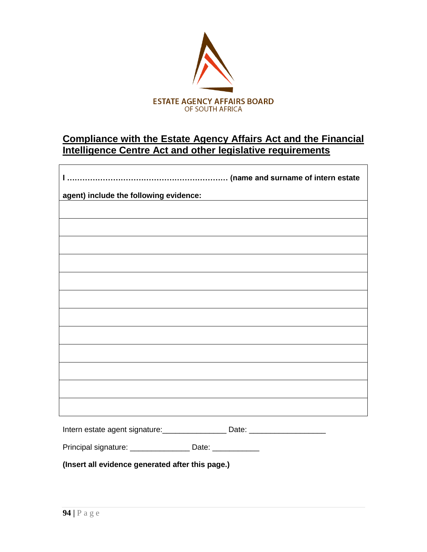

## **Compliance with the Estate Agency Affairs Act and the Financial Intelligence Centre Act and other legislative requirements**

| $\mathbf{I}$                           |
|----------------------------------------|
| agent) include the following evidence: |
|                                        |
|                                        |
|                                        |
|                                        |
|                                        |
|                                        |
|                                        |
|                                        |
|                                        |
|                                        |
|                                        |
|                                        |
|                                        |

Intern estate agent signature: \_\_\_\_\_\_\_\_\_\_\_\_\_\_\_\_\_\_ Date: \_\_\_\_\_\_\_\_\_\_\_\_\_\_\_\_\_\_\_\_\_\_\_\_

Principal signature: \_\_\_\_\_\_\_\_\_\_\_\_\_\_\_\_\_ Date: \_\_\_\_\_\_\_\_\_\_\_\_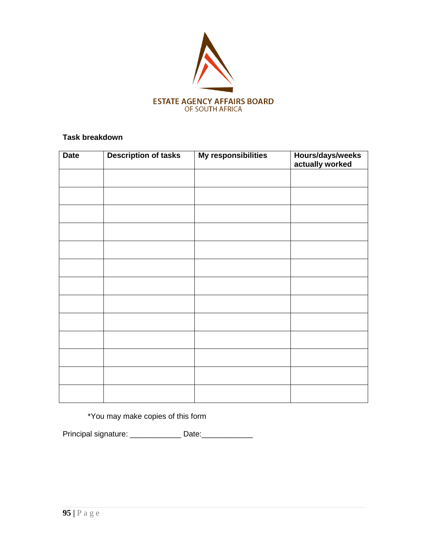

| <b>Date</b> | <b>Description of tasks</b> | My responsibilities | Hours/days/weeks<br>actually worked |
|-------------|-----------------------------|---------------------|-------------------------------------|
|             |                             |                     |                                     |
|             |                             |                     |                                     |
|             |                             |                     |                                     |
|             |                             |                     |                                     |
|             |                             |                     |                                     |
|             |                             |                     |                                     |
|             |                             |                     |                                     |
|             |                             |                     |                                     |
|             |                             |                     |                                     |
|             |                             |                     |                                     |
|             |                             |                     |                                     |
|             |                             |                     |                                     |
|             |                             |                     |                                     |

\*You may make copies of this form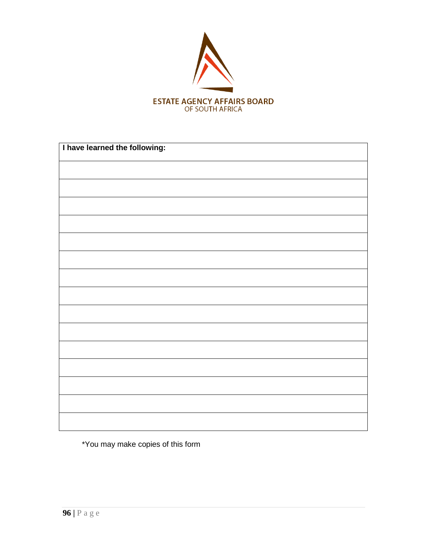

| I have learned the following: |  |
|-------------------------------|--|
|                               |  |
|                               |  |
|                               |  |
|                               |  |
|                               |  |
|                               |  |
|                               |  |
|                               |  |
|                               |  |
|                               |  |
|                               |  |
|                               |  |
|                               |  |
|                               |  |
|                               |  |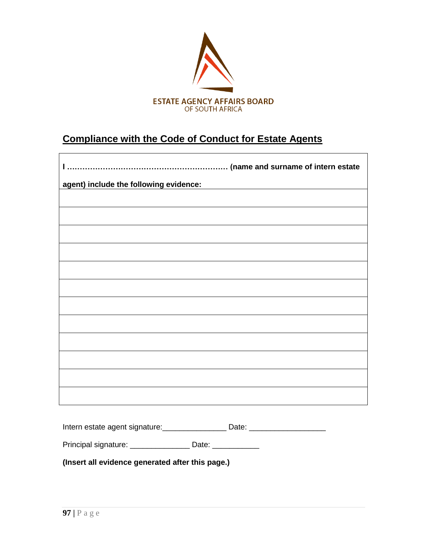

## **Compliance with the Code of Conduct for Estate Agents**

| agent) include the following evidence: |
|----------------------------------------|
|                                        |
|                                        |
|                                        |
|                                        |
|                                        |
|                                        |
|                                        |
|                                        |
|                                        |
|                                        |
|                                        |
|                                        |
|                                        |
|                                        |
|                                        |
|                                        |

Intern estate agent signature: \_\_\_\_\_\_\_\_\_\_\_\_\_\_\_\_\_\_ Date: \_\_\_\_\_\_\_\_\_\_\_\_\_\_\_\_\_\_\_\_\_\_\_\_

Principal signature: \_\_\_\_\_\_\_\_\_\_\_\_\_\_\_\_\_ Date: \_\_\_\_\_\_\_\_\_\_\_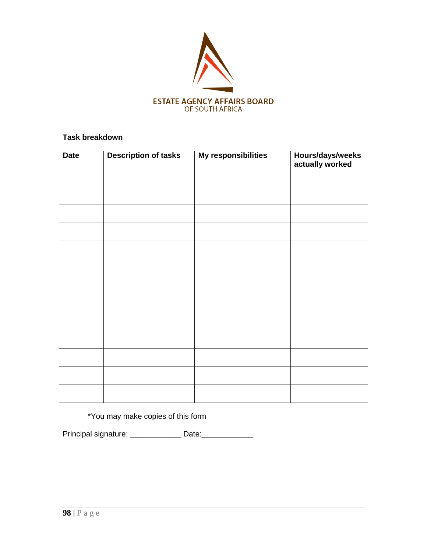

| <b>Date</b> | <b>Description of tasks</b> | My responsibilities | Hours/days/weeks<br>actually worked |
|-------------|-----------------------------|---------------------|-------------------------------------|
|             |                             |                     |                                     |
|             |                             |                     |                                     |
|             |                             |                     |                                     |
|             |                             |                     |                                     |
|             |                             |                     |                                     |
|             |                             |                     |                                     |
|             |                             |                     |                                     |
|             |                             |                     |                                     |
|             |                             |                     |                                     |
|             |                             |                     |                                     |
|             |                             |                     |                                     |
|             |                             |                     |                                     |
|             |                             |                     |                                     |

\*You may make copies of this form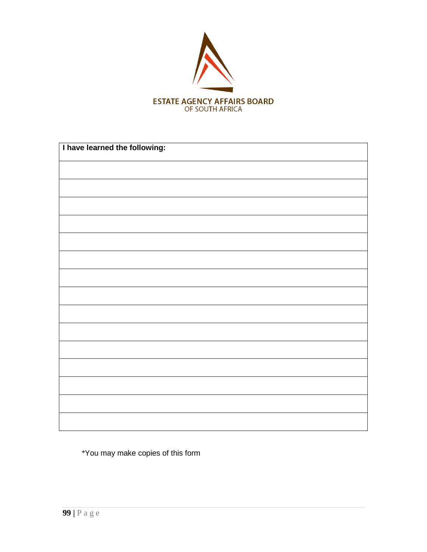

| I have learned the following: |  |  |  |
|-------------------------------|--|--|--|
|                               |  |  |  |
|                               |  |  |  |
|                               |  |  |  |
|                               |  |  |  |
|                               |  |  |  |
|                               |  |  |  |
|                               |  |  |  |
|                               |  |  |  |
|                               |  |  |  |
|                               |  |  |  |
|                               |  |  |  |
|                               |  |  |  |
|                               |  |  |  |
|                               |  |  |  |
|                               |  |  |  |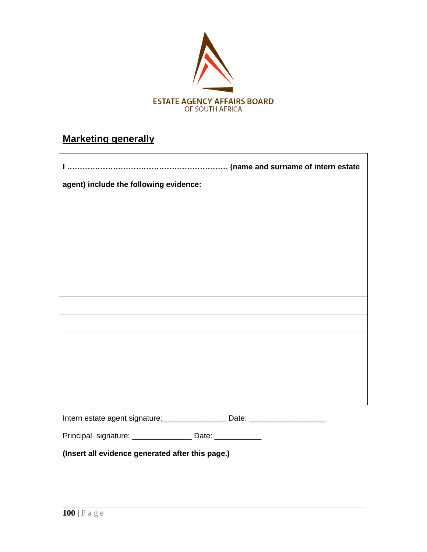

# **Marketing generally**

| agent) include the following evidence:<br>and the solution of the following evidence: |  |  |  |  |
|---------------------------------------------------------------------------------------|--|--|--|--|
|                                                                                       |  |  |  |  |
|                                                                                       |  |  |  |  |
|                                                                                       |  |  |  |  |
|                                                                                       |  |  |  |  |
|                                                                                       |  |  |  |  |
|                                                                                       |  |  |  |  |
|                                                                                       |  |  |  |  |
|                                                                                       |  |  |  |  |
|                                                                                       |  |  |  |  |
|                                                                                       |  |  |  |  |
|                                                                                       |  |  |  |  |
|                                                                                       |  |  |  |  |
|                                                                                       |  |  |  |  |
|                                                                                       |  |  |  |  |
|                                                                                       |  |  |  |  |
|                                                                                       |  |  |  |  |
| Intern estate agent signature: ____________________ Date: ______________________      |  |  |  |  |

|  | Principal signature: | Date: |  |
|--|----------------------|-------|--|
|--|----------------------|-------|--|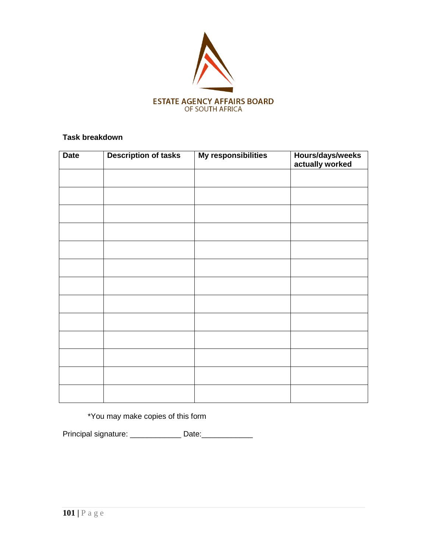

| <b>Date</b> | <b>Description of tasks</b> | My responsibilities | Hours/days/weeks<br>actually worked |
|-------------|-----------------------------|---------------------|-------------------------------------|
|             |                             |                     |                                     |
|             |                             |                     |                                     |
|             |                             |                     |                                     |
|             |                             |                     |                                     |
|             |                             |                     |                                     |
|             |                             |                     |                                     |
|             |                             |                     |                                     |
|             |                             |                     |                                     |
|             |                             |                     |                                     |
|             |                             |                     |                                     |
|             |                             |                     |                                     |
|             |                             |                     |                                     |
|             |                             |                     |                                     |

\*You may make copies of this form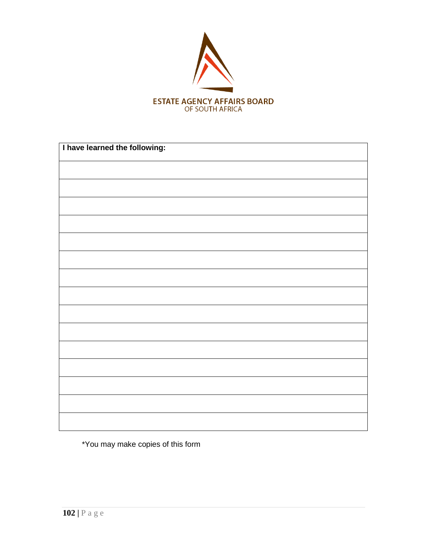

| I have learned the following: |  |  |  |
|-------------------------------|--|--|--|
|                               |  |  |  |
|                               |  |  |  |
|                               |  |  |  |
|                               |  |  |  |
|                               |  |  |  |
|                               |  |  |  |
|                               |  |  |  |
|                               |  |  |  |
|                               |  |  |  |
|                               |  |  |  |
|                               |  |  |  |
|                               |  |  |  |
|                               |  |  |  |
|                               |  |  |  |
|                               |  |  |  |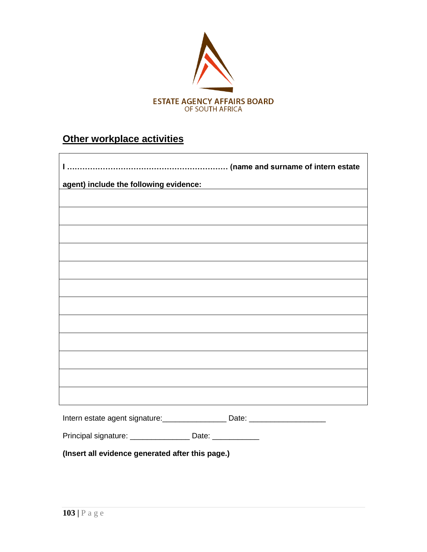

# **Other workplace activities**

| agent) include the following evidence:       |  |  |  |  |
|----------------------------------------------|--|--|--|--|
|                                              |  |  |  |  |
|                                              |  |  |  |  |
|                                              |  |  |  |  |
|                                              |  |  |  |  |
|                                              |  |  |  |  |
|                                              |  |  |  |  |
|                                              |  |  |  |  |
|                                              |  |  |  |  |
|                                              |  |  |  |  |
|                                              |  |  |  |  |
|                                              |  |  |  |  |
|                                              |  |  |  |  |
|                                              |  |  |  |  |
|                                              |  |  |  |  |
|                                              |  |  |  |  |
| Intern estate agent signature: _____________ |  |  |  |  |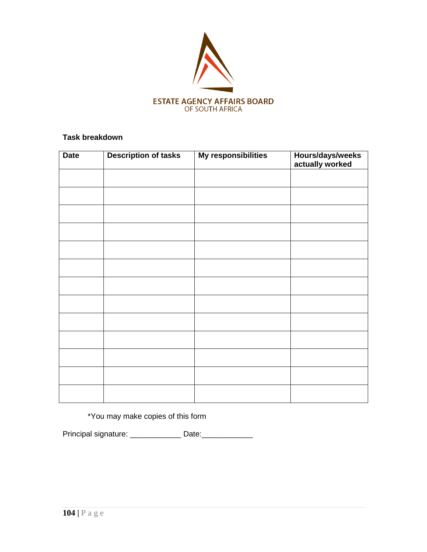

| <b>Date</b> | <b>Description of tasks</b> | My responsibilities | Hours/days/weeks<br>actually worked |
|-------------|-----------------------------|---------------------|-------------------------------------|
|             |                             |                     |                                     |
|             |                             |                     |                                     |
|             |                             |                     |                                     |
|             |                             |                     |                                     |
|             |                             |                     |                                     |
|             |                             |                     |                                     |
|             |                             |                     |                                     |
|             |                             |                     |                                     |
|             |                             |                     |                                     |
|             |                             |                     |                                     |
|             |                             |                     |                                     |
|             |                             |                     |                                     |
|             |                             |                     |                                     |

\*You may make copies of this form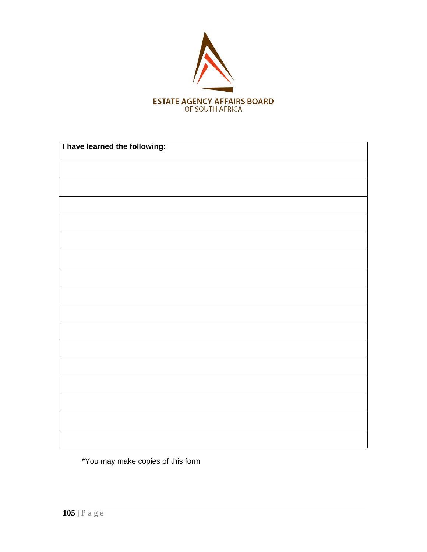

| I have learned the following: |  |  |  |
|-------------------------------|--|--|--|
|                               |  |  |  |
|                               |  |  |  |
|                               |  |  |  |
|                               |  |  |  |
|                               |  |  |  |
|                               |  |  |  |
|                               |  |  |  |
|                               |  |  |  |
|                               |  |  |  |
|                               |  |  |  |
|                               |  |  |  |
|                               |  |  |  |
|                               |  |  |  |
|                               |  |  |  |
|                               |  |  |  |
|                               |  |  |  |
|                               |  |  |  |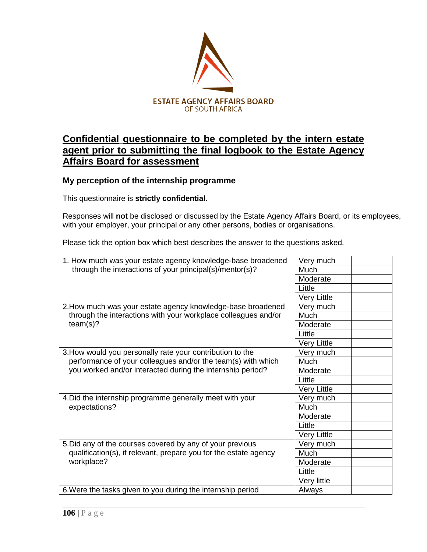

### **Confidential questionnaire to be completed by the intern estate agent prior to submitting the final logbook to the Estate Agency Affairs Board for assessment**

#### **My perception of the internship programme**

This questionnaire is **strictly confidential**.

Responses will **not** be disclosed or discussed by the Estate Agency Affairs Board, or its employees, with your employer, your principal or any other persons, bodies or organisations.

Please tick the option box which best describes the answer to the questions asked.

| 1. How much was your estate agency knowledge-base broadened                                                                | Very much   |
|----------------------------------------------------------------------------------------------------------------------------|-------------|
| through the interactions of your principal(s)/mentor(s)?                                                                   | Much        |
|                                                                                                                            | Moderate    |
|                                                                                                                            | Little      |
|                                                                                                                            | Very Little |
| 2. How much was your estate agency knowledge-base broadened                                                                | Very much   |
| through the interactions with your workplace colleagues and/or                                                             | Much        |
| team(s)?                                                                                                                   | Moderate    |
|                                                                                                                            | Little      |
|                                                                                                                            | Very Little |
| 3. How would you personally rate your contribution to the                                                                  | Very much   |
| performance of your colleagues and/or the team(s) with which<br>you worked and/or interacted during the internship period? | Much        |
|                                                                                                                            | Moderate    |
|                                                                                                                            | Little      |
|                                                                                                                            | Very Little |
| 4. Did the internship programme generally meet with your                                                                   | Very much   |
| expectations?                                                                                                              | Much        |
|                                                                                                                            | Moderate    |
|                                                                                                                            | Little      |
|                                                                                                                            | Very Little |
| 5. Did any of the courses covered by any of your previous                                                                  | Very much   |
| qualification(s), if relevant, prepare you for the estate agency                                                           | <b>Much</b> |
| workplace?                                                                                                                 | Moderate    |
|                                                                                                                            | Little      |
|                                                                                                                            | Very little |
| 6. Were the tasks given to you during the internship period                                                                | Always      |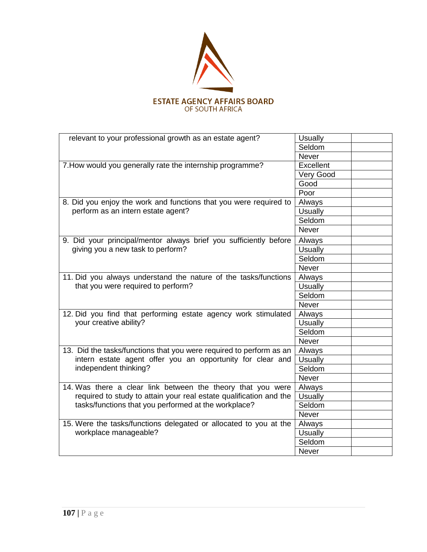

| relevant to your professional growth as an estate agent?                                                                          | <b>Usually</b> |
|-----------------------------------------------------------------------------------------------------------------------------------|----------------|
|                                                                                                                                   | Seldom         |
|                                                                                                                                   | <b>Never</b>   |
| 7. How would you generally rate the internship programme?                                                                         | Excellent      |
|                                                                                                                                   | Very Good      |
|                                                                                                                                   | Good           |
|                                                                                                                                   | Poor           |
| 8. Did you enjoy the work and functions that you were required to                                                                 | Always         |
| perform as an intern estate agent?                                                                                                | <b>Usually</b> |
|                                                                                                                                   | Seldom         |
|                                                                                                                                   | <b>Never</b>   |
| 9. Did your principal/mentor always brief you sufficiently before                                                                 | Always         |
| giving you a new task to perform?                                                                                                 | <b>Usually</b> |
|                                                                                                                                   | Seldom         |
|                                                                                                                                   | Never          |
| 11. Did you always understand the nature of the tasks/functions                                                                   | Always         |
| that you were required to perform?                                                                                                | <b>Usually</b> |
|                                                                                                                                   | Seldom         |
|                                                                                                                                   | Never          |
| 12. Did you find that performing estate agency work stimulated<br>your creative ability?                                          | Always         |
|                                                                                                                                   | <b>Usually</b> |
|                                                                                                                                   | Seldom         |
|                                                                                                                                   | Never          |
| 13. Did the tasks/functions that you were required to perform as an                                                               | Always         |
| intern estate agent offer you an opportunity for clear and                                                                        | <b>Usually</b> |
| independent thinking?                                                                                                             | Seldom         |
|                                                                                                                                   | Never          |
| 14. Was there a clear link between the theory that you were<br>required to study to attain your real estate qualification and the | Always         |
|                                                                                                                                   | <b>Usually</b> |
| tasks/functions that you performed at the workplace?                                                                              | Seldom         |
|                                                                                                                                   | Never          |
| 15. Were the tasks/functions delegated or allocated to you at the<br>workplace manageable?                                        | Always         |
|                                                                                                                                   | <b>Usually</b> |
|                                                                                                                                   | Seldom         |
|                                                                                                                                   | <b>Never</b>   |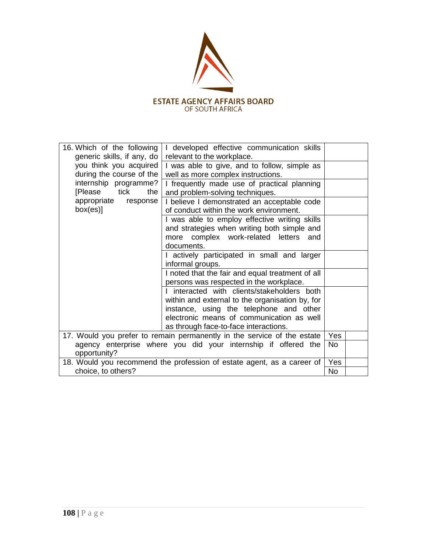

| 16. Which of the following<br>generic skills, if any, do                | I developed effective communication skills<br>relevant to the workplace. |            |  |
|-------------------------------------------------------------------------|--------------------------------------------------------------------------|------------|--|
| you think you acquired                                                  | I was able to give, and to follow, simple as                             |            |  |
| during the course of the<br>well as more complex instructions.          |                                                                          |            |  |
| internship programme?                                                   | I frequently made use of practical planning                              |            |  |
| [Please tick<br>the                                                     | and problem-solving techniques.                                          |            |  |
| appropriate<br>response                                                 | I believe I demonstrated an acceptable code                              |            |  |
| box(es)]                                                                | of conduct within the work environment.                                  |            |  |
|                                                                         | I was able to employ effective writing skills                            |            |  |
| and strategies when writing both simple and                             |                                                                          |            |  |
| more complex work-related letters<br>and                                |                                                                          |            |  |
| documents.                                                              |                                                                          |            |  |
| I actively participated in small and larger                             |                                                                          |            |  |
| informal groups.                                                        |                                                                          |            |  |
| I noted that the fair and equal treatment of all                        |                                                                          |            |  |
| persons was respected in the workplace.                                 |                                                                          |            |  |
| I interacted with clients/stakeholders both                             |                                                                          |            |  |
| within and external to the organisation by, for                         |                                                                          |            |  |
| instance, using the telephone and other                                 |                                                                          |            |  |
| electronic means of communication as well                               |                                                                          |            |  |
|                                                                         | as through face-to-face interactions.                                    |            |  |
| 17. Would you prefer to remain permanently in the service of the estate |                                                                          | <b>Yes</b> |  |
| agency enterprise where you did your internship if offered the          |                                                                          | No         |  |
| opportunity?                                                            |                                                                          |            |  |
|                                                                         |                                                                          |            |  |
| 18. Would you recommend the profession of estate agent, as a career of  |                                                                          | Yes        |  |
| choice, to others?                                                      |                                                                          | No         |  |